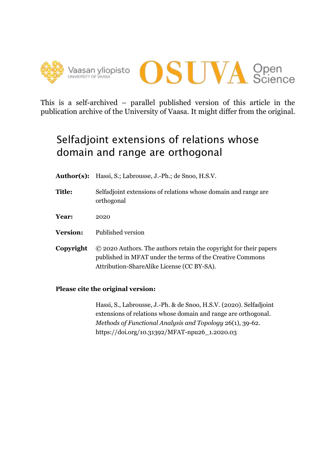



This is a self-archived – parallel published version of this article in the publication archive of the University of Vaasa. It might differ from the original.

# Selfadjoint extensions of relations whose domain and range are orthogonal

- **Author(s):** Hassi, S.; Labrousse, J.-Ph.; de Snoo, H.S.V.
- **Title:** Selfadjoint extensions of relations whose domain and range are orthogonal
- **Year:** 2020
- **Version:** Published version
- **Copyright** © 2020 Authors. The authors retain the copyright for their papers published in MFAT under the terms of the Creative Commons Attribution-ShareAlike License (CC BY-SA).

# **Please cite the original version:**

Hassi, S., Labrousse, J.-Ph. & de Snoo, H.S.V. (2020). Selfadjoint extensions of relations whose domain and range are orthogonal. *Methods of Functional Analysis and Topology* 26(1), 39-62. https://doi.org/10.31392/MFAT-npu26\_1.2020.03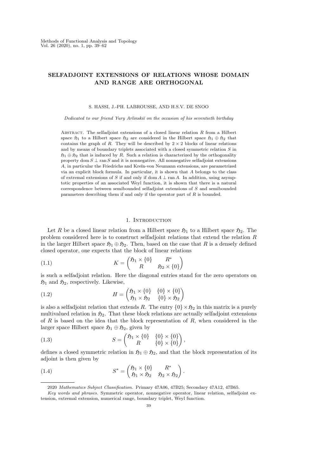# SELFADJOINT EXTENSIONS OF RELATIONS WHOSE DOMAIN AND RANGE ARE ORTHOGONAL

S. HASSI, J.-PH. LABROUSSE, AND H.S.V. DE SNOO

Dedicated to our friend Yury Arlinskii on the occasion of his seventieth birthday

ABSTRACT. The selfadjoint extensions of a closed linear relation  $R$  from a Hilbert space  $\mathfrak{H}_1$  to a Hilbert space  $\mathfrak{H}_2$  are considered in the Hilbert space  $\mathfrak{H}_1 \oplus \mathfrak{H}_2$  that contains the graph of R. They will be described by  $2 \times 2$  blocks of linear relations and by means of boundary triplets associated with a closed symmetric relation  $S$  in  $5_1 \oplus 5_2$  that is induced by R. Such a relation is characterized by the orthogonality property dom  $S \perp$  ran  $S$  and it is nonnegative. All nonnegative selfadjoint extensions A, in particular the Friedrichs and Kreĭn-von Neumann extensions, are parametrized via an explicit block formula. In particular, it is shown that A belongs to the class of extremal extensions of S if and only if dom  $A \perp$  ran A. In addition, using asymptotic properties of an associated Weyl function, it is shown that there is a natural correspondence between semibounded selfadjoint extensions of S and semibounded parameters describing them if and only if the operator part of  $R$  is bounded.

# 1. INTRODUCTION

Let R be a closed linear relation from a Hilbert space  $\mathfrak{H}_1$  to a Hilbert space  $\mathfrak{H}_2$ . The problem considered here is to construct selfadjoint relations that extend the relation R in the larger Hilbert space  $\mathfrak{H}_1 \oplus \mathfrak{H}_2$ . Then, based on the case that R is a densely defined closed operator, one expects that the block of linear relations

(1.1) 
$$
K = \begin{pmatrix} \mathfrak{H}_1 \times \{0\} & R^* \\ R & \mathfrak{H}_2 \times \{0\} \end{pmatrix}
$$

is such a selfadjoint relation. Here the diagonal entries stand for the zero operators on  $\mathfrak{H}_1$  and  $\mathfrak{H}_2$ , respectively. Likewise,

(1.2) 
$$
H = \begin{pmatrix} \mathfrak{H}_1 \times \{0\} & \{0\} \times \{0\} \\ \mathfrak{H}_1 \times \mathfrak{H}_2 & \{0\} \times \mathfrak{H}_2 \end{pmatrix}
$$

is also a selfadjoint relation that extends R. The entry  $\{0\} \times \mathfrak{H}_2$  in this matrix is a purely multivalued relation in  $\mathfrak{H}_2$ . That these block relations are actually selfadjoint extensions of  $R$  is based on the idea that the block representation of  $R$ , when considered in the larger space Hilbert space  $\mathfrak{H}_1 \oplus \mathfrak{H}_2$ , given by

(1.3) 
$$
S = \begin{pmatrix} \mathfrak{H}_1 \times \{0\} & \{0\} \times \{0\} \\ R & \{0\} \times \{0\} \end{pmatrix},
$$

defines a closed symmetric relation in  $\mathfrak{H}_1 \oplus \mathfrak{H}_2$ , and that the block representation of its adjoint is then given by

(1.4) 
$$
S^* = \begin{pmatrix} \mathfrak{H}_1 \times \{0\} & R^* \\ \mathfrak{H}_1 \times \mathfrak{H}_2 & \mathfrak{H}_2 \times \mathfrak{H}_2 \end{pmatrix}.
$$

<sup>2020</sup> Mathematics Subject Classification. Primary 47A06, 47B25; Secondary 47A12, 47B65.

Key words and phrases. Symmetric operator, nonnegative operator, linear relation, selfadjoint extension, extremal extension, numerical range, boundary triplet, Weyl function.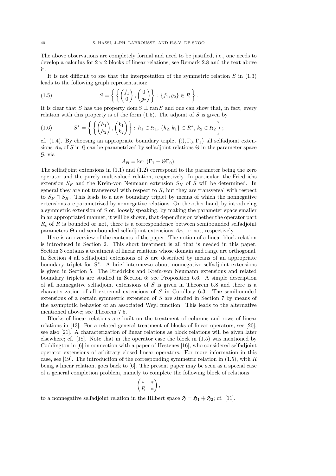The above observations are completely formal and need to be justified, i.e., one needs to develop a calculus for  $2 \times 2$  blocks of linear relations; see Remark 2.8 and the text above it.

It is not difficult to see that the interpretation of the symmetric relation  $S$  in  $(1.3)$ leads to the following graph representation:

(1.5) 
$$
S = \left\{ \left\{ \begin{pmatrix} f_1 \\ 0 \end{pmatrix}, \begin{pmatrix} 0 \\ g_2 \end{pmatrix} \right\} : \{f_1, g_2\} \in R \right\}
$$

It is clear that S has the property dom  $S \perp$  ran S and one can show that, in fact, every relation with this property is of the form  $(1.5)$ . The adjoint of S is given by

.

$$
(1.6) \t S^* = \left\{ \left\{ \begin{pmatrix} h_1 \\ h_2 \end{pmatrix}, \begin{pmatrix} k_1 \\ k_2 \end{pmatrix} \right\} : h_1 \in \mathfrak{H}_1, \{h_2, k_1\} \in R^*, k_2 \in \mathfrak{H}_2 \right\};
$$

cf. (1.4). By choosing an appropriate boundary triplet  $\{G, \Gamma_0, \Gamma_1\}$  all selfadjoint extensions  $A_{\Theta}$  of S in  $\mathfrak{H}$  can be parametrized by selfadjoint relations  $\Theta$  in the parameter space G, via

$$
A_{\Theta} = \ker (\Gamma_1 - \Theta \Gamma_0).
$$

The selfadjoint extensions in (1.1) and (1.2) correspond to the parameter being the zero operator and the purely multivalued relation, respectively. In particular, the Friedrichs extension  $S_F$  and the Kreĭn-von Neumann extension  $S_K$  of S will be determined. In general they are not transversal with respect to  $S$ , but they are transversal with respect to  $S_F \cap S_K$ . This leads to a new boundary triplet by means of which the nonnegative extensions are parametrized by nonnegative relations. On the other hand, by introducing a symmetric extension of S or, loosely speaking, by making the parameter space smaller in an appropriated manner, it will be shown, that depending on whether the operator part  $R<sub>s</sub>$  of R is bounded or not, there is a correspondence between semibounded selfadjoint parameters  $\Theta$  and semibounded selfadjoint extensions  $A_{\Theta}$ , or not, respectively.

Here is an overview of the contents of the paper. The notion of a linear block relation is introduced in Section 2. This short treatment is all that is needed in this paper. Section 3 contains a treatment of linear relations whose domain and range are orthogonal. In Section 4 all selfadjoint extensions of  $S$  are described by means of an appropriate boundary triplet for  $S^*$ . A brief intermezzo about nonnegative selfadjoint extensions is given in Section 5. The Friedrichs and Kreĭn-von Neumann extensions and related boundary triplets are studied in Section 6; see Proposition 6.6. A simple description of all nonnegative selfadjoint extensions of S is given in Theorem 6.8 and there is a characterization of all extremal extensions of  $S$  in Corollary 6.3. The semibounded extensions of a certain symmetric extension of S are studied in Section 7 by means of the asymptotic behavior of an associated Weyl function. This leads to the alternative mentioned above; see Theorem 7.5.

Blocks of linear relations are built on the treatment of columns and rows of linear relations in [13]. For a related general treatment of blocks of linear operators, see [20]; see also [21]. A characterization of linear relations as block relations will be given later elsewhere; cf. [18]. Note that in the operator case the block in (1.5) was mentioned by Coddington in [6] in connection with a paper of Hestenes [16], who considered selfadjoint operator extensions of arbitrary closed linear operators. For more information in this case, see [19]. The introduction of the corresponding symmetric relation in  $(1.5)$ , with R being a linear relation, goes back to [6]. The present paper may be seen as a special case of a general completion problem, namely to complete the following block of relations

$$
\begin{pmatrix} *&*\\ R&*\end{pmatrix},
$$

to a nonnegative selfadjoint relation in the Hilbert space  $\mathfrak{H} = \mathfrak{H}_1 \oplus \mathfrak{H}_2$ ; cf. [11].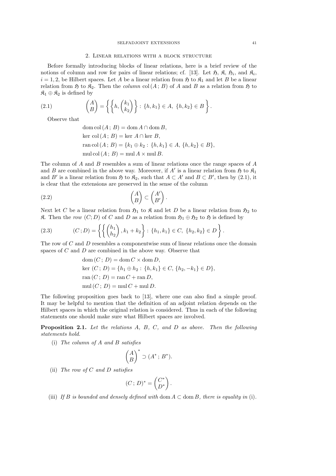### 2. Linear relations with a block structure

Before formally introducing blocks of linear relations, here is a brief review of the notions of column and row for pairs of linear relations; cf. [13]. Let  $\mathfrak{H}, \mathfrak{K}, \mathfrak{H}_i$ , and  $\mathfrak{K}_i$ ,  $i = 1, 2$ , be Hilbert spaces. Let A be a linear relation from  $\mathfrak{H}$  to  $\mathfrak{K}_1$  and let B be a linear relation from  $\mathfrak H$  to  $\mathfrak K_2$ . Then the *column* col  $(A; B)$  of A and B as a relation from  $\mathfrak H$  to  $\mathfrak{K}_1 \oplus \mathfrak{K}_2$  is defined by

(2.1) 
$$
{A \choose B} = \left\{ \left\{ h, {k_1 \choose k_2} \right\} : \{h, k_1\} \in A, \{h, k_2\} \in B \right\}.
$$

Observe that

dom col  $(A : B) = \text{dom } A \cap \text{dom } B$ , ker col  $(A; B) = \text{ker } A \cap \text{ker } B$ , ran col  $(A; B) = \{k_1 \oplus k_2 : \{h, k_1\} \in A, \{h, k_2\} \in B\},\$ mul col  $(A : B) = \text{mul } A \times \text{mul } B$ .

The column of A and B resembles a sum of linear relations once the range spaces of A and B are combined in the above way. Moreover, if A' is a linear relation from  $\mathfrak{H}$  to  $\mathfrak{K}_1$ and B' is a linear relation from  $\mathfrak{H}$  to  $\mathfrak{K}_2$ , such that  $A \subset A'$  and  $B \subset B'$ , then by  $(2.1)$ , it is clear that the extensions are preserved in the sense of the column

$$
(2.2) \qquad \qquad \binom{A}{B} \subset \binom{A'}{B'}.
$$

Next let C be a linear relation from  $\mathfrak{H}_1$  to  $\mathfrak K$  and let D be a linear relation from  $\mathfrak{H}_2$  to  $\mathfrak{K}$ . Then the *row*  $(C; D)$  of C and D as a relation from  $\mathfrak{H}_1 \oplus \mathfrak{H}_2$  to  $\mathfrak{H}$  is defined by

(2.3) 
$$
(C; D) = \left\{ \left\{ \begin{pmatrix} h_1 \\ h_2 \end{pmatrix}, k_1 + k_2 \right\} : \{h_1, k_1\} \in C, \{h_2, k_2\} \in D \right\}.
$$

The row of C and D resembles a componentwise sum of linear relations once the domain spaces of  $C$  and  $D$  are combined in the above way. Observe that

dom 
$$
(C; D)
$$
 = dom  $C \times$  dom  $D$ ,  
ker  $(C; D) = \{h_1 \oplus h_2 : \{h, k_1\} \in C, \{h_2, -k_1\} \in D\}$ ,  
ran  $(C; D)$  = ran  $C$  + ran  $D$ ,  
mul  $(C; D)$  = mul  $C$  + mul  $D$ .

The following proposition goes back to [13], where one can also find a simple proof. It may be helpful to mention that the definition of an adjoint relation depends on the Hilbert spaces in which the original relation is considered. Thus in each of the following statements one should make sure what Hilbert spaces are involved.

Proposition 2.1. *Let the relations* A*,* B*,* C*, and* D *as above. Then the following statements hold.*

(i) *The column of* A *and* B *satisfies*

$$
\begin{pmatrix} A \\ B \end{pmatrix}^* \supset (A^* \: ; \: B^*).
$$

(ii) *The row of* C *and* D *satisfies*

$$
(C\,;\,D)^* = \begin{pmatrix} C^* \\ D^* \end{pmatrix}.
$$

(iii) *If* B is bounded and densely defined with dom  $A \subset \text{dom } B$ , there is equality in (i).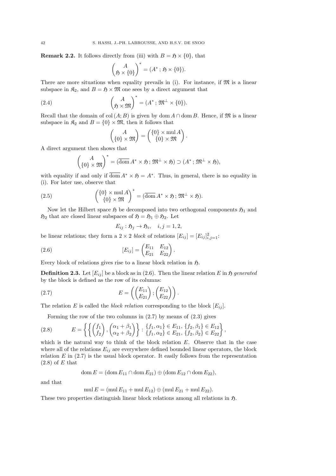**Remark 2.2.** It follows directly from (iii) with  $B = \mathfrak{H} \times \{0\}$ , that

$$
\binom{A}{\mathfrak{H}\times \{0\}}^*=(A^*\,;\,\mathfrak{H}\times \{0\}).
$$

There are more situations when equality prevails in (i). For instance, if  $\mathfrak{M}$  is a linear subspace in  $\mathfrak{K}_2$ , and  $B = \mathfrak{H} \times \mathfrak{M}$  one sees by a direct argument that

(2.4) 
$$
\begin{pmatrix} A \\ \mathfrak{H} \times \mathfrak{M} \end{pmatrix}^* = (A^*; \mathfrak{M}^\perp \times \{0\}).
$$

Recall that the domain of col  $(A; B)$  is given by dom A ∩ dom B. Hence, if M is a linear subspace in  $\mathfrak{K}_2$  and  $B = \{0\} \times \mathfrak{M}$ , then it follows that

$$
\begin{pmatrix} A \\ \{0\} \times \mathfrak{M} \end{pmatrix} = \begin{pmatrix} \{0\} \times \text{mul } A \\ \{0\} \times \mathfrak{M} \end{pmatrix}.
$$

A direct argument then shows that

$$
\binom{A}{\{0\}\times \mathfrak{M}}^* = (\overline{\text{dom}}\, A^* \times \mathfrak{H}; \, \mathfrak{M}^\perp \times \mathfrak{H}) \supset (A^*; \, \mathfrak{M}^\perp \times \mathfrak{H}),
$$

with equality if and only if  $\overline{\text{dom}} A^* \times \mathfrak{H} = A^*$ . Thus, in general, there is no equality in (i). For later use, observe that

(2.5) 
$$
\begin{pmatrix} \{0\} \times \text{mul } A \\ \{0\} \times \mathfrak{M} \end{pmatrix}^* = (\overline{\text{dom }} A^* \times \mathfrak{H}; \mathfrak{M}^\perp \times \mathfrak{H}).
$$

Now let the Hilbert space  $\mathfrak{H}$  be decomposed into two orthogonal components  $\mathfrak{H}_1$  and  $\mathfrak{H}_2$  that are closed linear subspaces of  $\mathfrak{H} = \mathfrak{H}_1 \oplus \mathfrak{H}_2$ . Let

$$
E_{ij}: \mathfrak{H}_j \to \mathfrak{H}_i, \quad i, j = 1, 2,
$$

.

be linear relations; they form a  $2 \times 2$  block of relations  $[E_{ij}] = [E_{ij}]_{i,j=1}^2$ :

(2.6) 
$$
[E_{ij}] = \begin{pmatrix} E_{11} & E_{12} \\ E_{21} & E_{22} \end{pmatrix}
$$

Every block of relations gives rise to a linear block relation in  $\mathfrak{H}$ .

**Definition 2.3.** Let  $[E_{ij}]$  be a block as in (2.6). Then the linear relation E in  $\mathfrak{H}$  generated by the block is defined as the row of its columns:

(2.7) 
$$
E = \left( \begin{pmatrix} E_{11} \\ E_{21} \end{pmatrix}; \begin{pmatrix} E_{12} \\ E_{22} \end{pmatrix} \right).
$$

The relation E is called the *block relation* corresponding to the block  $[E_{ij}]$ .

Forming the row of the two columns in (2.7) by means of (2.3) gives

$$
(2.8) \qquad E = \left\{ \left\{ \begin{pmatrix} f_1 \\ f_2 \end{pmatrix}, \begin{pmatrix} \alpha_1 + \beta_1 \\ \alpha_2 + \beta_2 \end{pmatrix} \right\} : \begin{cases} f_1, \alpha_1 \} \in E_{11}, \{ f_2, \beta_1 \} \in E_{12} \\ f_1, \alpha_2 \} \in E_{21}, \{ f_2, \beta_2 \} \in E_{22} \end{cases},
$$

which is the natural way to think of the block relation E. Observe that in the case where all of the relations  $E_{ij}$  are everywhere defined bounded linear operators, the block relation  $E$  in  $(2.7)$  is the usual block operator. It easily follows from the representation  $(2.8)$  of E that

$$
\operatorname{dom} E = (\operatorname{dom} E_{11} \cap \operatorname{dom} E_{21}) \oplus (\operatorname{dom} E_{12} \cap \operatorname{dom} E_{22}),
$$

and that

$$
mul E = (mul E_{11} + mul E_{12}) \oplus (mul E_{21} + mul E_{22}).
$$

These two properties distinguish linear block relations among all relations in  $\mathfrak{H}$ .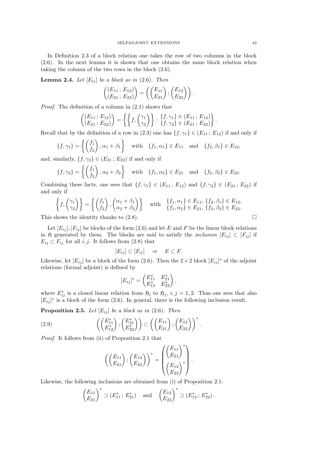In Definition 2.3 of a block relation one takes the row of two columns in the block (2.6). In the next lemma it is shown that one obtains the same block relation when taking the column of the two rows in the block (2.6).

**Lemma 2.4.** *Let*  $[E_{ij}]$  *be a block as in* (2.6)*. Then* 

$$
\begin{pmatrix}\n(E_{11}; E_{12}) \\
(E_{21}; E_{22})\n\end{pmatrix} = \left(\begin{pmatrix} E_{11} \\
E_{21}\n\end{pmatrix}; \begin{pmatrix} E_{12} \\
E_{22}\n\end{pmatrix}\right).
$$

*Proof.* The definition of a column in (2.1) shows that

$$
\begin{pmatrix}\n(E_{11}; E_{12}) \\
(E_{21}; E_{22})\n\end{pmatrix} = \left\{ \left\{ f, \begin{pmatrix} \gamma_1 \\ \gamma_2 \end{pmatrix} \right\} : \begin{cases} f, \gamma_1 \} \in (E_{11}; E_{12}) \\
\{ f, \gamma_2 \} \in (E_{21}; E_{22}) \end{cases} \right\}.
$$

Recall that by the definition of a row in (2.3) one has  $\{f, \gamma_1\} \in (E_{11}; E_{12})$  if and only if

$$
\{f, \gamma_1\} = \left\{ \begin{pmatrix} f_1 \\ f_2 \end{pmatrix}, \alpha_1 + \beta_1 \right\} \text{ with } \{f_1, \alpha_1\} \in E_{11} \text{ and } \{f_2, \beta_1\} \in E_{12},
$$

and, similarly,  $\{f, \gamma_2\} \in (E_{21}; E_{22})$  if and only if

$$
\{f, \gamma_2\} = \left\{ \begin{pmatrix} f_1 \\ f_2 \end{pmatrix}, \alpha_2 + \beta_2 \right\} \text{ with } \{f_1, \alpha_2\} \in E_{21} \text{ and } \{f_2, \beta_2\} \in E_{22}.
$$

Combining these facts, one sees that  $\{f, \gamma_1\} \in (E_{11}; E_{12})$  and  $\{f, \gamma_2\} \in (E_{21}; E_{22})$  if and only if

$$
\left\{f, \begin{pmatrix} \gamma_1 \\ \gamma_2 \end{pmatrix}\right\} = \left\{ \begin{pmatrix} f_1 \\ f_2 \end{pmatrix}, \begin{pmatrix} \alpha_1 + \beta_1 \\ \alpha_2 + \beta_2 \end{pmatrix} \right\} \quad \text{with} \quad \left\{f_1, \alpha_1\right\} \in E_{11}, \left\{f_2, \beta_1\right\} \in E_{12},
$$
\nThis shows the identity thanks to (2.8).

Let  $[E_{ij}], [F_{ij}]$  be blocks of the form (2.6) and let E and F be the linear block relations in 5 generated by them. The blocks are said to satisfy the *inclusion*  $[E_{ij}] \subset [F_{ij}]$  if  $E_{ij} \subset F_{ij}$  for all i, j. It follows from (2.8) that

$$
[E_{ij}] \subset [F_{ij}] \quad \Rightarrow \quad E \subset F.
$$

Likewise, let  $[E_{ij}]$  be a block of the form (2.6). Then the  $2 \times 2$  block  $[E_{ij}]^*$  of the adjoint relations (formal adjoint) is defined by

$$
[E_{ij}]^* = \begin{pmatrix} E_{11}^* & E_{21}^* \\ E_{12}^* & E_{22}^* \end{pmatrix},
$$

where  $E_{ij}^*$  is a closed linear relation from  $\mathfrak{H}_i$  to  $\mathfrak{H}_j$ ,  $i, j = 1, 2$ . Thus one sees that also  $[E_{ij}]^*$  is a block of the form (2.6). In general, there is the following inclusion result.

**Proposition 2.5.** *Let*  $[E_{ij}]$  *be a block as in* (2.6)*. Then* 

(2.9) 
$$
\left( \begin{pmatrix} E_{11}^* \\ E_{12}^* \end{pmatrix}; \begin{pmatrix} E_{21}^* \\ E_{22}^* \end{pmatrix} \right) \subset \left( \begin{pmatrix} E_{11} \\ E_{21} \end{pmatrix}; \begin{pmatrix} E_{12} \\ E_{22} \end{pmatrix} \right)^*.
$$

*Proof.* It follows from (ii) of Proposition 2.1 that

$$
\left( \begin{pmatrix} E_{11} \\ E_{21} \end{pmatrix} ; \begin{pmatrix} E_{12} \\ E_{22} \end{pmatrix} \right)^{*} = \begin{pmatrix} \begin{pmatrix} E_{11} \\ E_{21} \end{pmatrix}^{*} \\ \begin{pmatrix} E_{12} \\ E_{22} \end{pmatrix}^{*} \end{pmatrix}
$$

.

Likewise, the following inclusions are obtained from (i) of Proposition 2.1:

$$
\begin{pmatrix} E_{11} \\ E_{21} \end{pmatrix}^* \supset (E_{11}^*; E_{21}^*)
$$
 and  $\begin{pmatrix} E_{12} \\ E_{22} \end{pmatrix}^* \supset (E_{12}^*; E_{22}^*)$ .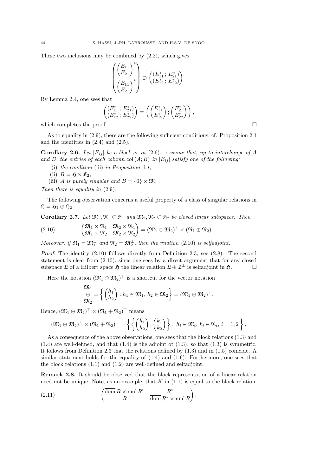These two inclusions may be combined by (2.2), which gives

$$
\begin{pmatrix} \begin{pmatrix} E_{11} \\ E_{21} \end{pmatrix}^* \\ \begin{pmatrix} E_{11} \\ E_{21} \end{pmatrix}^* \end{pmatrix} \supset \begin{pmatrix} \begin{pmatrix} E_{11}^* \, ; \, E_{21}^* \end{pmatrix} \\ \begin{pmatrix} E_{11} \\ E_{21} \end{pmatrix}^* \end{pmatrix}.
$$

By Lemma 2.4, one sees that

$$
\begin{pmatrix}\n(E_{11}^* \, ; \, E_{21}^*) \\
(E_{12}^* \, ; \, E_{22}^*)\n\end{pmatrix} = \left(\begin{pmatrix} E_{11}^* \\
 E_{12}^*\n\end{pmatrix} ; \begin{pmatrix} E_{21}^* \\
 E_{22}^*\n\end{pmatrix}\right),
$$

which completes the proof.  $\Box$ 

As to equality in (2.9), there are the following sufficient conditions; cf. Proposition 2.1 and the identities in  $(2.4)$  and  $(2.5)$ .

Corollary 2.6. Let  $[E_{ij}]$  be a block as in (2.6). Assume that, up to interchange of A and B, the entries of each column col  $(A;B)$  in  $[E_{ij}]$  satisfy one of the following:

- (i) *the condition* (iii) *in Proposition 2.1;*
- (ii)  $B = \mathfrak{H} \times \mathfrak{K}_2$ ;
- (iii) A *is purely singular and*  $B = \{0\} \times \mathfrak{M}$ .

*Then there is equality in* (2.9)*.*

The following observation concerns a useful property of a class of singular relations in  $\mathfrak{H} = \mathfrak{H}_1 \oplus \mathfrak{H}_2.$ 

Corollary 2.7. Let  $\mathfrak{M}_1, \mathfrak{N}_1 \subset \mathfrak{H}_1$  and  $\mathfrak{M}_2, \mathfrak{N}_2 \subset \mathfrak{H}_2$  be closed linear subspaces. Then

$$
(2.10) \qquad \qquad \begin{pmatrix} \mathfrak{M}_1 \times \mathfrak{N}_1 & \mathfrak{M}_2 \times \mathfrak{N}_1 \\ \mathfrak{M}_1 \times \mathfrak{N}_2 & \mathfrak{M}_2 \times \mathfrak{N}_2 \end{pmatrix} = (\mathfrak{M}_1 \oplus \mathfrak{M}_2)^\top \times (\mathfrak{N}_1 \oplus \mathfrak{N}_2)^\top.
$$

*Moreover, if*  $\mathfrak{N}_1 = \mathfrak{M}_1^{\perp}$  *and*  $\mathfrak{N}_2 = \mathfrak{M}_2^{\perp}$ *, then the relation* (2.10) *is selfadjoint.* 

*Proof.* The identity (2.10) follows directly from Definition 2.3; see (2.8). The second statement is clear from (2.10), since one sees by a direct argument that for any closed subspace  $\mathfrak L$  of a Hilbert space  $\mathfrak H$  the linear relation  $\mathfrak L\oplus\mathfrak L^{\perp}$  is selfadjoint in  $\mathfrak H$ .

Here the notation  $(\mathfrak{M}_1 \oplus \mathfrak{M}_2)^\top$  is a shortcut for the vector notation

$$
\mathfrak{M}_1 = \left\{ \begin{pmatrix} h_1 \\ h_2 \end{pmatrix} : h_1 \in \mathfrak{M}_1, h_2 \in \mathfrak{M}_2 \right\} = (\mathfrak{M}_1 \oplus \mathfrak{M}_2)^\top.
$$

Hence,  $(\mathfrak{M}_1 \oplus \mathfrak{M}_2)^\top \times (\mathfrak{N}_1 \oplus \mathfrak{N}_2)^\top$  means

$$
(\mathfrak{M}_1 \oplus \mathfrak{M}_2)^\top \times (\mathfrak{N}_1 \oplus \mathfrak{N}_2)^\top = \left\{ \left\{ \begin{pmatrix} h_1 \\ h_2 \end{pmatrix}, \begin{pmatrix} k_1 \\ k_2 \end{pmatrix} \right\} : h_i \in \mathfrak{M}_i, k_i \in \mathfrak{N}_i, i = 1, 2 \right\}.
$$

As a consequence of the above observations, one sees that the block relations (1.3) and  $(1.4)$  are well-defined, and that  $(1.4)$  is the adjoint of  $(1.3)$ , so that  $(1.3)$  is symmetric. It follows from Definition 2.3 that the relations defined by (1.3) and in (1.5) coincide. A similar statement holds for the equality of  $(1.4)$  and  $(1.6)$ . Furthermore, one sees that the block relations (1.1) and (1.2) are well-defined and selfadjoint.

Remark 2.8. It should be observed that the block representation of a linear relation need not be unique. Note, as an example, that  $K$  in  $(1.1)$  is equal to the block relation

(2.11) 
$$
\begin{pmatrix} \overline{\text{dom }R} \times \text{mul } R^*\\ R & \overline{\text{dom }R^*} \times \text{mul } R \end{pmatrix},
$$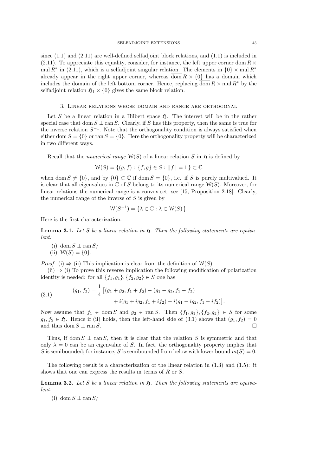since  $(1.1)$  and  $(2.11)$  are well-defined selfadjoint block relations, and  $(1.1)$  is included in  $(2.11)$ . To appreciate this equality, consider, for instance, the left upper corner dom  $R \times$ mul  $R^*$  in (2.11), which is a selfadjoint singular relation. The elements in  $\{0\} \times \text{mul } R^*$ already appear in the right upper corner, whereas  $\overline{\text{dom }R} \times \{0\}$  has a domain which includes the domain of the left bottom corner. Hence, replacing dom  $R \times \text{mul } R^*$  by the selfadjoint relation  $\mathfrak{H}_1 \times \{0\}$  gives the same block relation.

#### 3. Linear relations whose domain and range are orthogonal

Let S be a linear relation in a Hilbert space  $\mathfrak{H}$ . The interest will be in the rather special case that dom  $S \perp$  ran S. Clearly, if S has this property, then the same is true for the inverse relation  $S^{-1}$ . Note that the orthogonality condition is always satisfied when either dom  $S = \{0\}$  or ran  $S = \{0\}$ . Here the orthogonality property will be characterized in two different ways.

Recall that the *numerical range*  $W(S)$  of a linear relation S in  $\mathfrak{H}$  is defined by

$$
\mathcal{W}(S) = \{(g, f) : \{f, g\} \in S : ||f|| = 1\} \subset \mathbb{C}
$$

when dom  $S \neq \{0\}$ , and by  $\{0\} \subset \mathbb{C}$  if dom  $S = \{0\}$ , i.e. if S is purely multivalued. It is clear that all eigenvalues in  $\mathbb C$  of S belong to its numerical range  $\mathcal W(S)$ . Moreover, for linear relations the numerical range is a convex set; see [15, Proposition 2.18]. Clearly, the numerical range of the inverse of  $S$  is given by

$$
\mathcal{W}(S^{-1}) = \{ \lambda \in \mathbb{C} : \overline{\lambda} \in \mathcal{W}(S) \}.
$$

Here is the first characterization.

**Lemma 3.1.** Let S be a linear relation in  $\mathfrak{H}$ . Then the following statements are equiva*lent:*

(i) dom  $S \perp \text{ran } S$ *:* (ii)  $W(S) = \{0\}.$ 

*Proof.* (i)  $\Rightarrow$  (ii) This implication is clear from the definition of  $W(S)$ .

 $(iii) \Rightarrow (i)$  To prove this reverse implication the following modification of polarization identity is needed: for all  $\{f_1, g_1\}, \{f_2, g_2\} \in S$  one has

(3.1) 
$$
(g_1, f_2) = \frac{1}{4} \left[ (g_1 + g_2, f_1 + f_2) - (g_1 - g_2, f_1 - f_2) + i(g_1 + ig_2, f_1 + if_2) - i(g_1 - ig_2, f_1 - if_2) \right].
$$

Now assume that  $f_1 \in \text{dom } S$  and  $g_2 \in \text{ran } S$ . Then  $\{f_1, g_1\}, \{f_2, g_2\} \in S$  for some  $g_1, f_2 \in \mathfrak{H}$ . Hence if (ii) holds, then the left-hand side of (3.1) shows that  $(g_1, f_2) = 0$ and thus dom  $S \perp \text{ran } S$ .

Thus, if dom  $S \perp$  ran S, then it is clear that the relation S is symmetric and that only  $\lambda = 0$  can be an eigenvalue of S. In fact, the orthogonality property implies that S is semibounded; for instance, S is semibounded from below with lower bound  $m(S) = 0$ .

The following result is a characterization of the linear relation in (1.3) and (1.5): it shows that one can express the results in terms of R or S.

Lemma 3.2. Let S be a linear relation in  $\mathfrak{H}$ . Then the following statements are equiva*lent:*

(i) dom  $S \perp \text{ran } S$ ;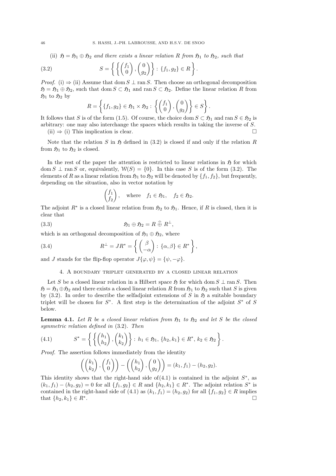(ii)  $\mathfrak{H} = \mathfrak{H}_1 \oplus \mathfrak{H}_2$  and there exists a linear relation R from  $\mathfrak{H}_1$  to  $\mathfrak{H}_2$ *, such that* 

(3.2) 
$$
S = \left\{ \left\{ \begin{pmatrix} f_1 \\ 0 \end{pmatrix}, \begin{pmatrix} 0 \\ g_2 \end{pmatrix} \right\} : \{f_1, g_2\} \in R \right\}.
$$

*Proof.* (i)  $\Rightarrow$  (ii) Assume that dom  $S \perp$  ran  $S$ . Then choose an orthogonal decomposition  $\mathfrak{H} = \mathfrak{H}_1 \oplus \mathfrak{H}_2$ , such that dom  $S \subset \mathfrak{H}_1$  and ran  $S \subset \mathfrak{H}_2$ . Define the linear relation R from  $\mathfrak{H}_1$  to  $\mathfrak{H}_2$  by

$$
R = \left\{ \{f_1, g_2\} \in \mathfrak{H}_1 \times \mathfrak{H}_2 : \left\{ \begin{pmatrix} f_1 \\ 0 \end{pmatrix}, \begin{pmatrix} 0 \\ g_2 \end{pmatrix} \right\} \in S \right\}.
$$

It follows that S is of the form (1.5). Of course, the choice dom  $S \subset \mathfrak{H}_1$  and ran  $S \in \mathfrak{H}_2$  is arbitrary: one may also interchange the spaces which results in taking the inverse of S.  $(ii) \Rightarrow (i)$  This implication is clear.

Note that the relation S in  $\mathfrak H$  defined in (3.2) is closed if and only if the relation R from  $\mathfrak{H}_1$  to  $\mathfrak{H}_2$  is closed.

In the rest of the paper the attention is restricted to linear relations in  $\mathfrak{H}$  for which dom  $S \perp$  ran S or, equivalently,  $\mathcal{W}(S) = \{0\}$ . In this case S is of the form (3.2). The elements of R as a linear relation from  $\mathfrak{H}_1$  to  $\mathfrak{H}_2$  will be denoted by  $\{f_1, f_2\}$ , but frequently, depending on the situation, also in vector notation by

$$
\begin{pmatrix} f_1 \\ f_2 \end{pmatrix}, \quad \text{where} \quad f_1 \in \mathfrak{H}_1, \quad f_2 \in \mathfrak{H}_2.
$$

The adjoint  $R^*$  is a closed linear relation from  $\mathfrak{H}_2$  to  $\mathfrak{H}_1$ . Hence, if R is closed, then it is clear that

(3.3) 
$$
\mathfrak{H}_1 \oplus \mathfrak{H}_2 = R \widehat{\oplus} R^{\perp},
$$

which is an orthogonal decomposition of  $\mathfrak{H}_1 \oplus \mathfrak{H}_2$ , where

(3.4) 
$$
R^{\perp} = JR^* = \left\{ \begin{pmatrix} \beta \\ -\alpha \end{pmatrix} : \{\alpha, \beta\} \in R^* \right\},\
$$

and J stands for the flip-flop operator  $J\{\varphi, \psi\} = {\psi, -\varphi}.$ 

# 4. A boundary triplet generated by a closed linear relation

Let S be a closed linear relation in a Hilbert space  $\mathfrak{H}$  for which dom  $S \perp \text{ran } S$ . Then  $\mathfrak{H} = \mathfrak{H}_1 \oplus \mathfrak{H}_2$  and there exists a closed linear relation R from  $\mathfrak{H}_1$  to  $\mathfrak{H}_2$  such that S is given by  $(3.2)$ . In order to describe the selfadjoint extensions of S in  $\mathfrak{H}$  a suitable boundary triplet will be chosen for  $S^*$ . A first step is the determination of the adjoint  $S^*$  of S below.

**Lemma 4.1.** Let R be a closed linear relation from  $\mathfrak{H}_1$  to  $\mathfrak{H}_2$  and let S be the closed *symmetric relation defined in* (3.2)*. Then*

(4.1) 
$$
S^* = \left\{ \left\{ \begin{pmatrix} h_1 \\ h_2 \end{pmatrix}, \begin{pmatrix} k_1 \\ k_2 \end{pmatrix} \right\} : h_1 \in \mathfrak{H}_1, \{h_2, k_1\} \in R^*, k_2 \in \mathfrak{H}_2 \right\}.
$$

*Proof.* The assertion follows immediately from the identity

$$
\left(\begin{pmatrix} k_1 \\ k_2 \end{pmatrix}, \begin{pmatrix} f_1 \\ 0 \end{pmatrix}\right) - \left(\begin{pmatrix} h_1 \\ h_2 \end{pmatrix}, \begin{pmatrix} 0 \\ g_2 \end{pmatrix}\right) = (k_1, f_1) - (h_2, g_2).
$$

This identity shows that the right-hand side of  $(4.1)$  is contained in the adjoint  $S^*$ , as  $(k_1, f_1) - (h_2, g_2) = 0$  for all  $\{f_1, g_2\} \in R$  and  $\{h_2, k_1\} \in R^*$ . The adjoint relation  $S^*$  is contained in the right-hand side of  $(4.1)$  as  $(k_1, f_1) = (h_2, g_2)$  for all  $\{f_1, g_2\} \in R$  implies that  $\{h_2, k_1\} \in R^*$ . .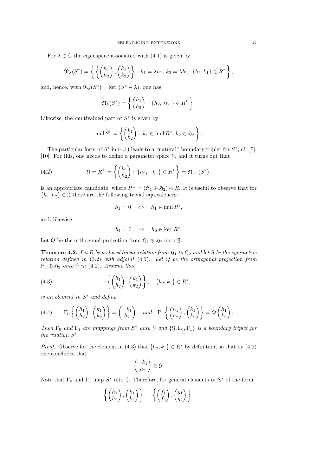For  $\lambda \in \mathbb{C}$  the eigenspace associated with (4.1) is given by

$$
\widehat{M}_{\lambda}(S^*) = \left\{ \left\{ \begin{pmatrix} h_1 \\ h_2 \end{pmatrix}, \begin{pmatrix} k_1 \\ k_2 \end{pmatrix} \right\} : k_1 = \lambda h_1, k_2 = \lambda h_2, \{h_2, k_1\} \in R^* \right\},\
$$

and, hence, with  $\mathfrak{N}_{\lambda}(S^*) = \text{ker }(S^* - \lambda)$ , one has

$$
\mathfrak{N}_{\lambda}(S^*) = \left\{ \begin{pmatrix} h_1 \\ h_2 \end{pmatrix} : \{h_2, \lambda h_1\} \in R^* \right\}.
$$

Likewise, the multivalued part of  $S^*$  is given by

mul 
$$
S^* = \left\{ \begin{pmatrix} k_1 \\ k_2 \end{pmatrix} : k_1 \in \text{mul } R^*, k_2 \in \mathfrak{H}_2 \right\}.
$$

The particular form of  $S^*$  in (4.1) leads to a "natural" boundary triplet for  $S^*$ ; cf. [5], [10]. For this, one needs to define a parameter space G, and it turns out that

(4.2) 
$$
\mathcal{G} = R^{\perp} = \left\{ \begin{pmatrix} h_1 \\ h_2 \end{pmatrix} : \{h_2, -h_1\} \in R^* \right\} = \mathfrak{N}_{-1}(S^*),
$$

is an appropriate candidate, where  $R^{\perp} = (\mathfrak{H}_1 \oplus \mathfrak{H}_2) \oplus R$ . It is useful to observe that for  ${h_1, h_2} \in \mathcal{G}$  there are the following trivial equivalences:

$$
h_2 = 0 \quad \Leftrightarrow \quad h_1 \in \text{mul } R^*,
$$

and, likewise

$$
h_1 = 0 \quad \Leftrightarrow \quad h_2 \in \text{ker } R^*.
$$

Let Q be the orthogonal projection from  $\mathfrak{H}_1 \oplus \mathfrak{H}_2$  onto  $\mathfrak{G}$ .

**Theorem 4.2.** Let R be a closed linear relation from  $\mathfrak{H}_1$  to  $\mathfrak{H}_2$  and let S be the symmetric *relation defined in* (3.2) *with adjoint* (4.1)*. Let* Q *be the orthogonal projection from*  $5_1 \oplus 5_2$  *onto*  $\Im$  *in* (4.2)*.* Assume that

(4.3) 
$$
\left\{ \begin{pmatrix} h_1 \\ h_2 \end{pmatrix}, \begin{pmatrix} k_1 \\ k_2 \end{pmatrix} \right\}, \quad \{h_2, k_1\} \in R^*,
$$

*is an element in* S <sup>∗</sup> *and define*

(4.4) 
$$
\Gamma_0\left\{ \begin{pmatrix} h_1 \\ h_2 \end{pmatrix}, \begin{pmatrix} k_1 \\ k_2 \end{pmatrix} \right\} = \begin{pmatrix} -k_1 \\ h_2 \end{pmatrix}
$$
 and  $\Gamma_1\left\{ \begin{pmatrix} h_1 \\ h_2 \end{pmatrix}, \begin{pmatrix} k_1 \\ k_2 \end{pmatrix} \right\} = Q \begin{pmatrix} h_1 \\ k_2 \end{pmatrix}$ .

*Then*  $\Gamma_0$  *and*  $\Gamma_1$  *are mappings from*  $S^*$  *onto* G *and*  $\{S, \Gamma_0, \Gamma_1\}$  *is a boundary triplet for the relation* S ∗ *.*

*Proof.* Observe for the element in (4.3) that  $\{h_2, k_1\} \in R^*$  by definition, so that by (4.2) one concludes that

$$
\binom{-k_1}{h_2} \in \mathcal{G}.
$$

Note that  $\Gamma_0$  and  $\Gamma_1$  map  $S^*$  into  $\mathcal{G}$ . Therefore, for general elements in  $S^*$  of the form

$$
\left\{ \begin{pmatrix} h_1 \\ h_2 \end{pmatrix}, \begin{pmatrix} k_1 \\ k_2 \end{pmatrix} \right\}, \quad \left\{ \begin{pmatrix} f_1 \\ f_2 \end{pmatrix}, \begin{pmatrix} g_1 \\ g_2 \end{pmatrix} \right\},\
$$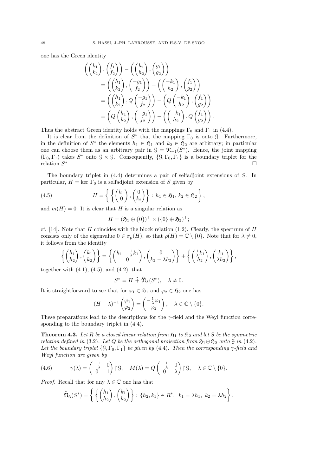one has the Green identity

$$
\begin{aligned}\n\left(\begin{pmatrix} k_1 \\ k_2 \end{pmatrix}, \begin{pmatrix} f_1 \\ f_2 \end{pmatrix}\right) - \left(\begin{pmatrix} h_1 \\ h_2 \end{pmatrix}, \begin{pmatrix} g_1 \\ g_2 \end{pmatrix}\right) \\
&= \left(\begin{pmatrix} h_1 \\ k_2 \end{pmatrix}, \begin{pmatrix} -g_1 \\ f_2 \end{pmatrix}\right) - \left(\begin{pmatrix} -k_1 \\ h_2 \end{pmatrix}, \begin{pmatrix} f_1 \\ g_2 \end{pmatrix}\right) \\
&= \left(\begin{pmatrix} h_1 \\ k_2 \end{pmatrix}, Q \begin{pmatrix} -g_1 \\ f_2 \end{pmatrix}\right) - \left(Q \begin{pmatrix} -k_1 \\ h_2 \end{pmatrix}, \begin{pmatrix} f_1 \\ g_2 \end{pmatrix}\right) \\
&= \left(Q \begin{pmatrix} h_1 \\ k_2 \end{pmatrix}, \begin{pmatrix} -g_1 \\ f_2 \end{pmatrix}\right) - \left(\begin{pmatrix} -k_1 \\ h_2 \end{pmatrix}, Q \begin{pmatrix} f_1 \\ g_2 \end{pmatrix}\right).\n\end{aligned}
$$

Thus the abstract Green identity holds with the mappings  $\Gamma_0$  and  $\Gamma_1$  in (4.4).

It is clear from the definition of  $S^*$  that the mapping  $\Gamma_0$  is onto  $\mathcal{G}$ . Furthermore, in the definition of  $S^*$  the elements  $h_1 \in \mathfrak{H}_1$  and  $k_2 \in \mathfrak{H}_2$  are arbitrary; in particular one can choose them as an arbitrary pair in  $\mathcal{G} = \mathfrak{N}_{-1}(S^*)$ . Hence, the joint mapping  $(\Gamma_0, \Gamma_1)$  takes  $S^*$  onto  $\mathcal{G} \times \mathcal{G}$ . Consequently,  $\{\mathcal{G}, \Gamma_0, \Gamma_1\}$  is a boundary triplet for the relation  $S^*$ .

The boundary triplet in (4.4) determines a pair of selfadjoint extensions of S. In particular,  $H = \text{ker } \Gamma_0$  is a selfadjoint extension of S given by

(4.5) 
$$
H = \left\{ \left\{ \begin{pmatrix} h_1 \\ 0 \end{pmatrix}, \begin{pmatrix} 0 \\ k_2 \end{pmatrix} \right\} : h_1 \in \mathfrak{H}_1, k_2 \in \mathfrak{H}_2 \right\},
$$

and  $m(H) = 0$ . It is clear that H is a singular relation as

$$
H = (\mathfrak{H}_1 \oplus \{0\})^\top \times (\{0\} \oplus \mathfrak{H}_2)^\top;
$$

cf. [14]. Note that H coincides with the block relation (1.2). Clearly, the spectrum of H consists only of the eigenvalue  $0 \in \sigma_{p}(H)$ , so that  $\rho(H) = \mathbb{C} \setminus \{0\}$ . Note that for  $\lambda \neq 0$ , it follows from the identity

$$
\left\{ \begin{pmatrix} h_1 \\ h_2 \end{pmatrix}, \begin{pmatrix} k_1 \\ k_2 \end{pmatrix} \right\} = \left\{ \begin{pmatrix} h_1 - \frac{1}{\lambda} k_1 \\ 0 \end{pmatrix}, \begin{pmatrix} 0 \\ k_2 - \lambda h_2 \end{pmatrix} \right\} + \left\{ \begin{pmatrix} \frac{1}{\lambda} k_1 \\ h_2 \end{pmatrix}, \begin{pmatrix} k_1 \\ \lambda h_2 \end{pmatrix} \right\},
$$

together with  $(4.1)$ ,  $(4.5)$ , and  $(4.2)$ , that

$$
S^* = H \widehat{+} \widehat{\mathfrak{N}}_{\lambda}(S^*), \quad \lambda \neq 0.
$$

It is straightforward to see that for  $\varphi_1 \in \mathfrak{H}_1$  and  $\varphi_2 \in \mathfrak{H}_2$  one has

$$
(H - \lambda)^{-1} \begin{pmatrix} \varphi_1 \\ \varphi_2 \end{pmatrix} = \begin{pmatrix} -\frac{1}{\lambda} \varphi_1 \\ \varphi_2 \end{pmatrix}, \quad \lambda \in \mathbb{C} \setminus \{0\}.
$$

These preparations lead to the descriptions for the  $\gamma$ -field and the Weyl function corresponding to the boundary triplet in (4.4).

**Theorem 4.3.** Let R be a closed linear relation from  $\mathfrak{H}_1$  to  $\mathfrak{H}_2$  and let S be the symmetric *relation defined in* (3.2)*. Let* Q *be the orthogonal projection from*  $\mathfrak{H}_1 \oplus \mathfrak{H}_2$  *onto* G *in* (4.2)*. Let the boundary triplet*  $\{9, \Gamma_0, \Gamma_1\}$  *be given by* (4.4)*. Then the corresponding*  $\gamma$ *-field and Weyl function are given by*

(4.6) 
$$
\gamma(\lambda) = \begin{pmatrix} -\frac{1}{\lambda} & 0 \\ 0 & 1 \end{pmatrix} \upharpoonright \mathcal{G}, \quad M(\lambda) = Q \begin{pmatrix} -\frac{1}{\lambda} & 0 \\ 0 & \lambda \end{pmatrix} \upharpoonright \mathcal{G}, \quad \lambda \in \mathbb{C} \setminus \{0\}.
$$

*Proof.* Recall that for any  $\lambda \in \mathbb{C}$  one has that

$$
\widehat{M}_{\lambda}(S^*) = \left\{ \left\{ \begin{pmatrix} h_1 \\ h_2 \end{pmatrix}, \begin{pmatrix} k_1 \\ k_2 \end{pmatrix} \right\} : \{h_2, k_1\} \in R^*, \ \ k_1 = \lambda h_1, \ k_2 = \lambda h_2 \right\}.
$$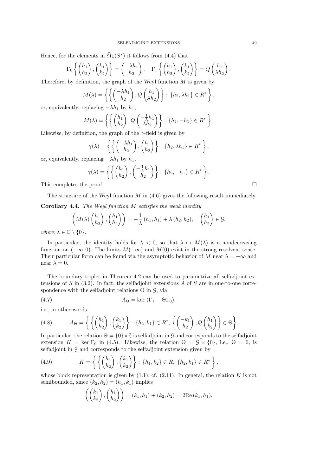Hence, for the elements in  $\widehat{\mathfrak{N}}_{\lambda}(S^*)$  it follows from (4.4) that

$$
\Gamma_0\left\{ \begin{pmatrix} h_1 \\ h_2 \end{pmatrix}, \begin{pmatrix} k_1 \\ k_2 \end{pmatrix} \right\} = \begin{pmatrix} -\lambda h_1 \\ h_2 \end{pmatrix}, \quad \Gamma_1\left\{ \begin{pmatrix} h_1 \\ h_2 \end{pmatrix}, \begin{pmatrix} k_1 \\ k_2 \end{pmatrix} \right\} = Q \begin{pmatrix} h_1 \\ \lambda h_2 \end{pmatrix}
$$

Therefore, by definition, the graph of the Weyl function  $M$  is given by

$$
M(\lambda) = \left\{ \left\{ \begin{pmatrix} -\lambda h_1 \\ h_2 \end{pmatrix}, Q \begin{pmatrix} h_1 \\ \lambda h_2 \end{pmatrix} \right\} : \{h_2, \lambda h_1\} \in R^* \right\},\
$$

or, equivalently, replacing  $-\lambda h_1$  by  $h_1$ ,

$$
M(\lambda) = \left\{ \left\{ \begin{pmatrix} h_1 \\ h_2 \end{pmatrix}, Q \begin{pmatrix} -\frac{1}{\lambda} h_1 \\ \lambda h_2 \end{pmatrix} \right\} : \{h_2, -h_1\} \in R^* \right\}.
$$

Likewise, by definition, the graph of the  $\gamma$ -field is given by

$$
\gamma(\lambda) = \left\{ \left\{ \begin{pmatrix} -\lambda h_1 \\ h_2 \end{pmatrix}, \begin{pmatrix} h_1 \\ h_2 \end{pmatrix} \right\} : \{h_2, \lambda h_1\} \in R^* \right\},\
$$

or, equivalently, replacing  $-\lambda h_1$  by  $h_1$ ,

$$
\gamma(\lambda) = \left\{ \left\{ \begin{pmatrix} h_1 \\ h_2 \end{pmatrix}, \begin{pmatrix} -\frac{1}{\lambda}h_1 \\ h_2 \end{pmatrix} \right\} : \{h_2, -h_1\} \in R^* \right\}
$$

This completes the proof.  $\Box$ 

The structure of the Weyl function  $M$  in (4.6) gives the following result immediately.

Corollary 4.4. *The Weyl function* M *satisfies the weak identity*

$$
\left(M(\lambda)\begin{pmatrix}h_1\\h_2\end{pmatrix},\begin{pmatrix}h_1\\h_2\end{pmatrix}\right)=-\frac{1}{\lambda}\left(h_1,h_1\right)+\lambda\left(h_2,h_2\right), \quad \begin{pmatrix}h_1\\h_2\end{pmatrix}\in\mathfrak{G},
$$

*where*  $\lambda \in \mathbb{C} \setminus \{0\}$ *.* 

In particular, the identity holds for  $\lambda < 0$ , so that  $\lambda \mapsto M(\lambda)$  is a nondecreasing function on  $(-\infty, 0)$ . The limits  $M(-\infty)$  and  $M(0)$  exist in the strong resolvent sense. Their particular form can be found via the asymptotic behavior of M near  $\lambda = -\infty$  and near  $\lambda = 0$ .

The boundary triplet in Theorem 4.2 can be used to parametrize all selfadjoint extensions of S in  $(3.2)$ . In fact, the selfadjoint extensions A of S are in one-to-one correspondence with the selfadjoint relations  $\Theta$  in  $\mathcal{G}$ , via

(4.7) 
$$
A_{\Theta} = \ker (\Gamma_1 - \Theta \Gamma_0),
$$

i.e., in other words

$$
(4.8) \t A_{\Theta} = \left\{ \left\{ \begin{pmatrix} h_1 \\ h_2 \end{pmatrix}, \begin{pmatrix} k_1 \\ k_2 \end{pmatrix} \right\} : \{h_2, k_1\} \in R^*, \left\{ \begin{pmatrix} -k_1 \\ h_2 \end{pmatrix}, Q \begin{pmatrix} h_1 \\ k_2 \end{pmatrix} \right\} \in \Theta \right\}.
$$

In particular, the relation  $\Theta = \{0\} \times \mathcal{G}$  is selfadjoint in G and corresponds to the selfadjoint extension  $H = \text{ker } \Gamma_0$  in (4.5). Likewise, the relation  $\Theta = \mathcal{G} \times \{0\}$ , i.e.,  $\Theta = 0$ , is selfadjoint in G and corresponds to the selfadjoint extension given by

(4.9) 
$$
K = \left\{ \left\{ \binom{h_1}{h_2}, \binom{k_1}{k_2} \right\} : \{h_1, k_2\} \in R, \{h_2, k_1\} \in R^* \right\},
$$

whose block representation is given by  $(1.1)$ ; cf.  $(2.11)$ . In general, the relation K is not semibounded, since  $(k_2, h_2) = (h_1, k_1)$  implies

$$
\left( \begin{pmatrix} k_1 \\ k_2 \end{pmatrix}, \begin{pmatrix} h_1 \\ h_2 \end{pmatrix} \right) = (k_1, h_1) + (k_2, h_2) = 2 \text{Re}(k_1, h_1),
$$

.

.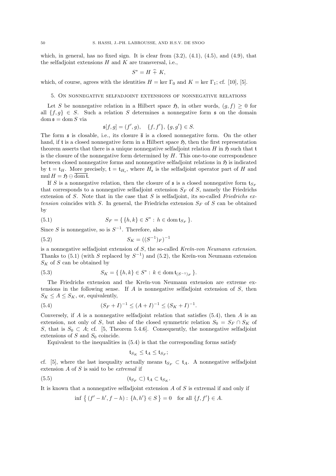which, in general, has no fixed sign. It is clear from  $(3.2)$ ,  $(4.1)$ ,  $(4.5)$ , and  $(4.9)$ , that the selfadjoint extensions  $H$  and  $K$  are transversal, i.e.,

$$
S^* = H \widehat{+} K,
$$

which, of course, agrees with the identities  $H = \text{ker } \Gamma_0$  and  $K = \text{ker } \Gamma_1$ ; cf. [10], [5].

# 5. On nonnegative selfadjoint extensions of nonnegative relations

Let S be nonnegative relation in a Hilbert space  $\mathfrak{H}$ , in other words,  $(g, f) \geq 0$  for all  $\{f, g\} \in S$ . Such a relation S determines a nonnegative form  $\mathfrak s$  on the domain  $dom \mathfrak{s} = dom S$  via

$$
\mathfrak{s}[f,g] = (f',g), \quad \{f,f'\}, \{g,g'\} \in S.
$$

The form  $\mathfrak s$  is closable, i.e., its closure  $\overline{\mathfrak s}$  is a closed nonnegative form. On the other hand, if t is a closed nonnegative form in a Hilbert space  $\mathfrak{H}$ , then the first representation theorem asserts that there is a unique nonnegative selfadjoint relation H in  $\mathfrak{H}$  such that t is the closure of the nonnegative form determined by  $H$ . This one-to-one correspondence between closed nonnegative forms and nonnegative selfadjoint relations in  $\mathfrak{H}$  is indicated by  $\mathfrak{t} = \mathfrak{t}_H$ . More precisely,  $\mathfrak{t} = \mathfrak{t}_{H_s}$ , where  $H_s$  is the selfadjoint operator part of H and mul  $H = \mathfrak{H} \ominus \overline{\text{dom }\mathfrak{t}}$ .

If S is a nonnegative relation, then the closure of  $\mathfrak s$  is a closed nonnegative form  $\mathfrak t_{S_F}$ that corresponds to a nonnegative selfadjoint extension  $S_F$  of S, namely the Friedrichs extension of S. Note that in the case that S is selfadjoint, its so-called *Friedrichs extension* coincides with S. In general, the Friedrichs extension  $S_F$  of S can be obtained by

(5.1) 
$$
S_F = \{ \{h, k\} \in S^* : h \in \text{dom} \, \mathfrak{t}_{S_F} \}.
$$

Since S is nonnegative, so is  $S^{-1}$ . Therefore, also

(5.2) 
$$
S_K = ((S^{-1})_F)^{-1}
$$

is a nonnegative selfadjoint extension of S, the so-called *Kre˘ın-von Neumann extension*. Thanks to (5.1) (with S replaced by  $S^{-1}$ ) and (5.2), the Kreĭn-von Neumann extension  $S_K$  of S can be obtained by

(5.3) 
$$
S_K = \{ \{h, k\} \in S^* : k \in \text{dom } \mathfrak{t}_{(S^{-1})_F} \}.
$$

The Friedrichs extension and the Kreĭn-von Neumann extension are extreme extensions in the following sense. If  $A$  is nonnegative selfadjoint extension of  $S$ , then  $S_K \leq A \leq S_K$ , or, equivalently,

(5.4) 
$$
(S_F + I)^{-1} \le (A + I)^{-1} \le (S_K + I)^{-1}.
$$

Conversely, if A is a nonnegative selfadjoint relation that satisfies  $(5.4)$ , then A is an extension, not only of S, but also of the closed symmetric relation  $S_0 = S_F \cap S_K$  of S, that is  $S_0 \subset A$ ; cf. [5, Theorem 5.4.6]. Consequently, the nonnegative selfadjoint extensions of S and  $S_0$  coincide.

Equivalent to the inequalities in  $(5.4)$  is that the corresponding forms satisfy

$$
\mathfrak{t}_{S_K}\leq\mathfrak{t}_A\leq\mathfrak{t}_{S_F};
$$

cf. [5], where the last inequality actually means  $t_{S_F} \subset t_A$ . A nonnegative selfadjoint extension A of S is said to be *extremal* if

$$
(5.5) \t\t (t_{S_F} \subset) t_A \subset t_{S_K}.
$$

It is known that a nonnegative selfadjoint extension  $A$  of  $S$  is extremal if and only if

inf  $\{(f'-h', f-h) : \{h,h'\} \in S\} = 0$  for all  $\{f,f'\} \in A$ .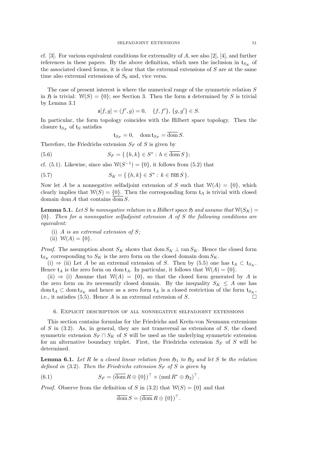cf. [3]. For various equivalent conditions for extremality of A, see also [2], [4], and further references in these papers. By the above definition, which uses the inclusion in  $\mathfrak{t}_{S_K}$  of the associated closed forms, it is clear that the extremal extensions of  $S$  are at the same time also extremal extensions of  $S_0$  and, vice versa.

The case of present interest is where the numerical range of the symmetric relation S in 5 is trivial:  $W(S) = \{0\}$ ; see Section 3. Then the form s determined by S is trivial by Lemma 3.1

$$
\mathfrak{s}[f,g] = (f',g) = 0, \quad \{f,f'\}, \{g,g'\} \in S.
$$

In particular, the form topology coincides with the Hilbert space topology. Then the closure  $\mathfrak{t}_{S_F}$  of  $\mathfrak{t}_S$  satisfies

$$
\mathfrak{t}_{S_F} = 0, \quad \text{dom } \mathfrak{t}_{S_F} = \overline{\text{dom } S}.
$$

Therefore, the Friedrichs extension  $S_F$  of S is given by

(5.6) 
$$
S_F = \{ \{h, k\} \in S^* : h \in \overline{\text{dom}} S \};
$$

cf. (5.1). Likewise, since also  $W(S^{-1}) = \{0\}$ , it follows from (5.2) that

(5.7) 
$$
S_K = \{ \{h, k\} \in S^* : k \in \overline{\operatorname{ran}} S \}.
$$

Now let A be a nonnegative selfadjoint extension of S such that  $W(A) = \{0\}$ , which clearly implies that  $W(S) = \{0\}$ . Then the corresponding form  $\mathfrak{t}_A$  is trivial with closed domain dom A that contains dom S.

**Lemma 5.1.** Let S be nonnegative relation in a Hilbert space  $\mathfrak{H}$  and assume that  $\mathcal{W}(S_K)$  = {0}*. Then for a nonnegative selfadjoint extension* A *of* S *the following conditions are equivalent:*

- (i) A *is an extremal extension of* S*;*
- (ii)  $W(A) = \{0\}.$

*Proof.* The assumption about  $S_K$  shows that dom  $S_K \perp \text{ran } S_K$ . Hence the closed form  $t_{S_K}$  corresponding to  $S_K$  is the zero form on the closed domain dom  $S_K$ .

(i)  $\Rightarrow$  (ii) Let A be an extremal extension of S. Then by (5.5) one has  $t_A \subset t_{S_K}$ . Hence  $\mathfrak{t}_A$  is the zero form on dom  $\mathfrak{t}_A$ . In particular, it follows that  $\mathcal{W}(A) = \{0\}.$ 

(ii)  $\Rightarrow$  (i) Assume that  $W(A) = \{0\}$ , so that the closed form generated by A is the zero form on its necessarily closed domain. By the inequality  $S_K \leq A$  one has dom  $\mathfrak{t}_A \subset \text{dom } \mathfrak{t}_{S_K}$  and hence as a zero form  $\mathfrak{t}_A$  is a closed restriction of the form  $\mathfrak{t}_{S_K}$ , i.e., it satisfies (5.5). Hence A is an extremal extension of S.  $\Box$ 

# 6. Explicit description of all nonnegative selfadjoint extensions

This section contains formulas for the Friedrichs and Kreĭn-von Neumann extensions of S in  $(3.2)$ . As, in general, they are not transversal as extensions of S, the closed symmetric extension  $S_F \cap S_K$  of S will be used as the underlying symmetric extension for an alternative boundary triplet. First, the Friedrichs extension  $S_F$  of S will be determined.

**Lemma 6.1.** Let R be a closed linear relation from  $\mathfrak{H}_1$  to  $\mathfrak{H}_2$  and let S be the relation *defined in* (3.2). Then the Friedrichs extension  $S_F$  of S is given by

(6.1) 
$$
S_F = (\overline{\text{dom}} R \oplus \{0\})^\top \times (\text{mul } R^* \oplus \mathfrak{H}_2)^\top.
$$

*Proof.* Observe from the definition of S in (3.2) that  $W(S) = \{0\}$  and that

$$
\overline{\text{dom}} S = (\overline{\text{dom}} R \oplus \{0\})^{\top}.
$$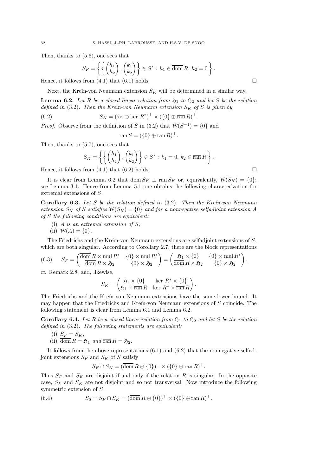Then, thanks to (5.6), one sees that

$$
S_F = \left\{ \left\{ \begin{pmatrix} h_1 \\ h_2 \end{pmatrix}, \begin{pmatrix} k_1 \\ k_2 \end{pmatrix} \right\} \in S^* : h_1 \in \overline{\text{dom }R}, h_2 = 0 \right\}.
$$

Hence, it follows from  $(4.1)$  that  $(6.1)$  holds.

Next, the Kreĭn-von Neumann extension  $S_K$  will be determined in a similar way.

**Lemma 6.2.** Let R be a closed linear relation from  $\mathfrak{H}_1$  to  $\mathfrak{H}_2$  and let S be the relation *defined in* (3.2). Then the Kreïn-von Neumann extension  $S_K$  of S is given by

(6.2) 
$$
S_K = (\mathfrak{H}_1 \oplus \ker R^*)^\top \times (\{0\} \oplus \overline{\operatorname{ran}} R)^\top.
$$

*Proof.* Observe from the definition of S in (3.2) that  $W(S^{-1}) = \{0\}$  and

$$
\overline{\operatorname{ran}} S = (\{0\} \oplus \overline{\operatorname{ran}} R)^{\top}.
$$

Then, thanks to (5.7), one sees that

$$
S_K = \left\{ \left\{ \begin{pmatrix} h_1 \\ h_2 \end{pmatrix}, \begin{pmatrix} k_1 \\ k_2 \end{pmatrix} \right\} \in S^* : k_1 = 0, k_2 \in \overline{\operatorname{ran}} R \right\}.
$$

Hence, it follows from (4.1) that (6.2) holds.  $\square$ 

It is clear from Lemma 6.2 that dom  $S_K \perp \text{ran } S_K$  or, equivalently,  $W(S_K) = \{0\};$ see Lemma 3.1. Hence from Lemma 5.1 one obtains the following characterization for extremal extensions of S.

Corollary 6.3. *Let* S *be the relation defined in* (3.2)*. Then the Kre˘ın-von Neumann extension*  $S_K$  *of* S *satisfies*  $W(S_K) = \{0\}$  *and for a nonnegative selfadjoint extension* A *of* S *the following conditions are equivalent:*

- (i) A *is an extremal extension of* S*;*
- (ii)  $W(A) = \{0\}.$

The Friedrichs and the Kreĭn-von Neumann extensions are selfadjoint extensions of  $S$ , which are both singular. According to Corollary 2.7, there are the block representations

(6.3) 
$$
S_F = \begin{pmatrix} \overline{\text{dom }R} \times \text{mul } R^* & \{0\} \times \text{mul } R^* \\ \overline{\text{dom }R} \times \mathfrak{H}_2 & \{0\} \times \mathfrak{H}_2 \end{pmatrix} = \begin{pmatrix} \mathfrak{H}_1 \times \{0\} & \{0\} \times \text{mul } R^* \\ \overline{\text{dom }R} \times \mathfrak{H}_2 & \{0\} \times \mathfrak{H}_2 \end{pmatrix},
$$

cf. Remark 2.8, and, likewise,

$$
S_K = \begin{pmatrix} \mathfrak{H}_1 \times \{0\} & \ker R^* \times \{0\} \\ \mathfrak{H}_1 \times \overline{\operatorname{ran}} R & \ker R^* \times \overline{\operatorname{ran}} R \end{pmatrix}.
$$

The Friedrichs and the Kreĭn-von Neumann extensions have the same lower bound. It may happen that the Friedrichs and Kreĭn-von Neumann extensions of  $S$  coincide. The following statement is clear from Lemma 6.1 and Lemma 6.2.

**Corollary 6.4.** Let R be a closed linear relation from  $\mathfrak{H}_1$  to  $\mathfrak{H}_2$  and let S be the relation *defined in* (3.2)*. The following statements are equivalent:*

- (i)  $S_F = S_K$ ;
- (ii)  $\overline{\text{dom}} R = \mathfrak{H}_1$  and  $\overline{\text{ran}} R = \mathfrak{H}_2$ .

It follows from the above representations  $(6.1)$  and  $(6.2)$  that the nonnegative selfadjoint extensions  $S_F$  and  $S_K$  of S satisfy

$$
S_F \cap S_K = (\overline{\text{dom}} R \oplus \{0\})^\top \times (\{0\} \oplus \overline{\text{ran}} R)^\top.
$$

Thus  $S_F$  and  $S_K$  are disjoint if and only if the relation R is singular. In the opposite case,  $S_F$  and  $S_K$  are not disjoint and so not transversal. Now introduce the following symmetric extension of S:

(6.4) 
$$
S_0 = S_F \cap S_K = (\overline{\text{dom}} R \oplus \{0\})^\top \times (\{0\} \oplus \overline{\text{ran}} R)^\top.
$$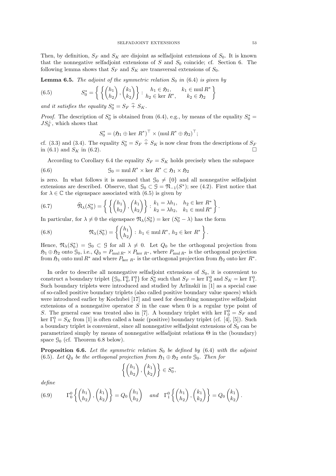Then, by definition,  $S_F$  and  $S_K$  are disjoint as selfadjoint extensions of  $S_0$ . It is known that the nonnegative selfadjoint extensions of  $S$  and  $S_0$  coincide; cf. Section 6. The following lemma shows that  $S_F$  and  $S_K$  are transversal extensions of  $S_0$ .

**Lemma 6.5.** *The adjoint of the symmetric relation*  $S_0$  *in* (6.4) *is given by* 

(6.5) 
$$
S_0^* = \left\{ \left\{ \begin{pmatrix} h_1 \\ h_2 \end{pmatrix}, \begin{pmatrix} k_1 \\ k_2 \end{pmatrix} \right\} : \begin{matrix} h_1 \in \mathfrak{H}_1, & k_1 \in \text{mul } R^* \\ h_2 \in \text{ker } R^*, & k_2 \in \mathfrak{H}_2 \end{matrix} \right\}
$$

and it satisfies the equality  $S_0^* = S_F \hat{+} S_K$ .

*Proof.* The description of  $S_0^*$  is obtained from (6.4), e.g., by means of the equality  $S_0^*$  =  $JS_0^{\perp}$ , which shows that

$$
S_0^* = (\mathfrak{H}_1 \oplus \ker R^*)^\top \times (\operatorname{mul} R^* \oplus \mathfrak{H}_2)^\top;
$$

cf. (3.3) and (3.4). The equality  $S_0^* = S_F \hat{+} S_K$  is now clear from the descriptions of  $S_F$ in (6.1) and  $S_K$  in (6.2).

According to Corollary 6.4 the equality  $S_F = S_K$  holds precisely when the subspace

(6.6) 
$$
\mathcal{G}_0 = \text{mul } R^* \times \text{ker } R^* \subset \mathfrak{H}_1 \times \mathfrak{H}_2
$$

is zero. In what follows it is assumed that  $\mathcal{G}_0 \neq \{0\}$  and all nonnegative selfadjoint extensions are described. Observe, that  $\mathcal{G}_0 \subset \mathcal{G} = \mathfrak{N}_{-1}(S^*)$ ; see (4.2). First notice that for  $\lambda \in \mathbb{C}$  the eigenspace associated with (6.5) is given by

(6.7) 
$$
\widehat{m}_{\lambda}(S_0^*) = \left\{ \left\{ \begin{pmatrix} h_1 \\ h_2 \end{pmatrix}, \begin{pmatrix} k_1 \\ k_2 \end{pmatrix} \right\} : \begin{matrix} k_1 = \lambda h_1, & h_2 \in \ker R^* \\ k_2 = \lambda h_2, & k_1 \in \text{mul } R^* \end{matrix} \right\}.
$$

In particular, for  $\lambda \neq 0$  the eigenspace  $\mathfrak{N}_{\lambda}(S_0^*) = \text{ker }(S_0^* - \lambda)$  has the form

(6.8) 
$$
\mathfrak{N}_{\lambda}(S_0^*) = \left\{ \begin{pmatrix} h_1 \\ h_2 \end{pmatrix} : h_1 \in \text{mul } R^*, h_2 \in \text{ker } R^* \right\}.
$$

Hence,  $\mathfrak{N}_{\lambda}(S_0^*) = \mathfrak{G}_0 \subset \mathfrak{G}$  for all  $\lambda \neq 0$ . Let  $Q_0$  be the orthogonal projection from  $\mathfrak{H}_1 \oplus \mathfrak{H}_2$  onto  $\mathfrak{G}_0$ , i.e.,  $Q_0 = P_{\text{mul }R^*} \times P_{\text{ker }R^*}$ , where  $P_{\text{mul }R^*}$  is the orthogonal projection from  $\mathfrak{H}_1$  onto mul  $R^*$  and where  $P_{\text{ker } R^*}$  is the orthogonal projection from  $\mathfrak{H}_2$  onto ker  $R^*$ .

In order to describe all nonnegative selfadjoint extensions of  $S_0$ , it is convenient to construct a boundary triplet  $\{S_0, \Gamma_0^0, \Gamma_1^0\}$  for  $S_0^*$  such that  $S_F = \text{ker } \Gamma_0^0$  and  $S_K = \text{ker } \Gamma_1^0$ . Such boundary triplets were introduced and studied by Arlinski<sup>v</sup> in [1] as a special case of so-called positive boundary triplets (also called positive boundary value spaces) which were introduced earlier by Kochubei [17] and used for describing nonnegative selfadjoint extensions of a nonnegative operator  $S$  in the case when 0 is a regular type point of S. The general case was treated also in [7]. A boundary triplet with ker  $\Gamma_0^0 = S_F$  and ker  $\Gamma_1^0 = S_K$  from [1] is often called a basic (positive) boundary triplet (cf. [4], [5]). Such a boundary triplet is convenient, since all nonnegative selfadjoint extensions of  $S_0$  can be parametrized simply by means of nonnegative selfadjoint relations  $\Theta$  in the (boundary) space  $\mathcal{G}_0$  (cf. Theorem 6.8 below).

**Proposition 6.6.** Let the symmetric relation  $S_0$  be defined by (6.4) with the adjoint (6.5). Let  $Q_0$  be the orthogonal projection from  $\mathfrak{H}_1 \oplus \mathfrak{H}_2$  onto  $\mathfrak{G}_0$ . Then for

$$
\left\{ \begin{pmatrix} h_1 \\ h_2 \end{pmatrix}, \begin{pmatrix} k_1 \\ k_2 \end{pmatrix} \right\} \in S_0^*,
$$

*define*

(6.9) 
$$
\Gamma_0^0\left\{ \begin{pmatrix} h_1 \\ h_2 \end{pmatrix}, \begin{pmatrix} k_1 \\ k_2 \end{pmatrix} \right\} = Q_0 \begin{pmatrix} h_1 \\ h_2 \end{pmatrix} \text{ and } \Gamma_1^0\left\{ \begin{pmatrix} h_1 \\ h_2 \end{pmatrix}, \begin{pmatrix} k_1 \\ k_2 \end{pmatrix} \right\} = Q_0 \begin{pmatrix} k_1 \\ k_2 \end{pmatrix}.
$$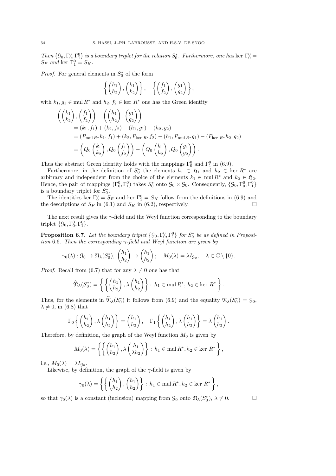*Then*  $\{S_0, \Gamma_0^0, \Gamma_1^0\}$  *is a boundary triplet for the relation*  $S_0^*$ *. Furthermore, one has* ker  $\Gamma_0^0$  =  $S_F$  *and* ker  $\Gamma_1^0 = S_K$ .

*Proof.* For general elements in  $S_0^*$  of the form

$$
\left\{ \begin{pmatrix} h_1 \\ h_2 \end{pmatrix}, \begin{pmatrix} k_1 \\ k_2 \end{pmatrix} \right\}, \quad \left\{ \begin{pmatrix} f_1 \\ f_2 \end{pmatrix}, \begin{pmatrix} g_1 \\ g_2 \end{pmatrix} \right\},\,
$$

with  $k_1, g_1 \in \text{mul } R^*$  and  $h_2, f_2 \in \text{ker } R^*$  one has the Green identity

$$
\begin{split}\n&\left( \begin{pmatrix} k_1 \\ k_2 \end{pmatrix}, \begin{pmatrix} f_1 \\ f_2 \end{pmatrix} \right) - \left( \begin{pmatrix} h_1 \\ h_2 \end{pmatrix}, \begin{pmatrix} g_1 \\ g_2 \end{pmatrix} \right) \\
&= (k_1, f_1) + (k_2, f_2) - (h_1, g_1) - (h_2, g_2) \\
&= (P_{\text{mul }R^*}k_1, f_1) + (k_2, P_{\text{ker }R^*}f_2) - (h_1, P_{\text{mul }R^*}g_1) - (P_{\text{ker }R^*}h_2, g_2) \\
&= \left( Q_0 \begin{pmatrix} k_1 \\ k_2 \end{pmatrix}, Q_0 \begin{pmatrix} f_1 \\ f_2 \end{pmatrix} \right) - \left( Q_0 \begin{pmatrix} h_1 \\ h_2 \end{pmatrix}, Q_0 \begin{pmatrix} g_1 \\ g_2 \end{pmatrix} \right).\n\end{split}
$$

Thus the abstract Green identity holds with the mappings  $\Gamma_0^0$  and  $\Gamma_1^0$  in (6.9).

Furthermore, in the definition of  $S_0^*$  the elements  $h_1 \in \mathfrak{H}_1$  and  $h_2 \in \text{ker } R^*$  are arbitrary and independent from the choice of the elements  $k_1 \in \text{mul } R^*$  and  $k_2 \in \mathfrak{H}_2$ . Hence, the pair of mappings  $(\Gamma_0^0, \Gamma_1^0)$  takes  $S_0^*$  onto  $\mathcal{G}_0 \times \mathcal{G}_0$ . Consequently,  $\{\mathcal{G}_0, \Gamma_0^0, \Gamma_1^0\}$ is a boundary triplet for  $S_0^*$ .

The identities ker  $\Gamma_0^0 = S_F$  and ker  $\Gamma_1^0 = S_K$  follow from the definitions in (6.9) and the descriptions of  $S_F$  in (6.1) and  $S_K$  in (6.2), respectively.

The next result gives the  $\gamma$ -field and the Weyl function corresponding to the boundary triplet  $\{S_0, \Gamma_0^0, \Gamma_1^0\}.$ 

**Proposition 6.7.** Let the boundary triplet  $\{S_0, \Gamma_0^0, \Gamma_1^0\}$  for  $S_0^*$  be as defined in Proposi*tion* 6.6*. Then the corresponding* γ*-field and Weyl function are given by*

$$
\gamma_0(\lambda) : \mathcal{G}_0 \to \mathfrak{N}_{\lambda}(S_0^*), \begin{pmatrix} h_1 \\ h_2 \end{pmatrix} \to \begin{pmatrix} h_1 \\ h_2 \end{pmatrix}; \quad M_0(\lambda) = \lambda I_{\mathcal{G}_0}, \quad \lambda \in \mathbb{C} \setminus \{0\}.
$$

*Proof.* Recall from (6.7) that for any  $\lambda \neq 0$  one has that

$$
\widehat{\mathfrak{N}}_{\lambda}(S_0^*) = \left\{ \left\{ \begin{pmatrix} h_1 \\ h_2 \end{pmatrix}, \lambda \begin{pmatrix} h_1 \\ h_2 \end{pmatrix} \right\} : h_1 \in \text{mul } R^*, h_2 \in \text{ker } R^* \right\}.
$$

Thus, for the elements in  $\widehat{\mathfrak{N}}_{\lambda}(S_0^*)$  it follows from (6.9) and the equality  $\mathfrak{N}_{\lambda}(S_0^*) = 9_0$ ,  $\lambda \neq 0$ , in (6.8) that

$$
\Gamma_0\left\{ \begin{pmatrix} h_1 \\ h_2 \end{pmatrix}, \lambda \begin{pmatrix} h_1 \\ h_2 \end{pmatrix} \right\} = \begin{pmatrix} h_1 \\ h_2 \end{pmatrix}, \quad \Gamma_1\left\{ \begin{pmatrix} h_1 \\ h_2 \end{pmatrix}, \lambda \begin{pmatrix} h_1 \\ h_2 \end{pmatrix} \right\} = \lambda \begin{pmatrix} h_1 \\ h_2 \end{pmatrix}.
$$

Therefore, by definition, the graph of the Weyl function  $M_0$  is given by

$$
M_0(\lambda) = \left\{ \left\{ \begin{pmatrix} h_1 \\ h_2 \end{pmatrix}, \lambda \begin{pmatrix} h_1 \\ \lambda h_2 \end{pmatrix} \right\} : h_1 \in \text{mul } R^*, h_2 \in \text{ker } R^* \right\},\
$$

i.e.,  $M_0(\lambda) = \lambda I_{\mathcal{G}_0}$ .

Likewise, by definition, the graph of the  $\gamma$ -field is given by

$$
\gamma_0(\lambda) = \left\{ \left\{ \begin{pmatrix} h_1 \\ h_2 \end{pmatrix}, \begin{pmatrix} h_1 \\ h_2 \end{pmatrix} \right\} : h_1 \in \text{mul } R^*, h_2 \in \text{ker } R^* \right\},\
$$

so that  $\gamma_0(\lambda)$  is a constant (inclusion) mapping from  $\mathfrak{G}_0$  onto  $\mathfrak{N}_{\lambda}(S_0^*), \lambda \neq 0$ .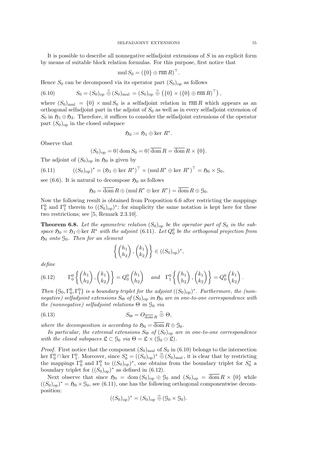It is possible to describe all nonnegative selfadjoint extensions of  $S$  in an explicit form by means of suitable block relation formulas. For this purpose, first notice that

$$
\operatorname{mul} S_0 = (\{0\} \oplus \overline{\operatorname{ran}} R)^\top.
$$

Hence  $S_0$  can be decomposed via its operator part  $(S_0)_{op}$  as follows

(6.10) 
$$
S_0 = (S_0)_{\text{op}} \widehat{\oplus} (S_0)_{\text{mul}} = (S_0)_{\text{op}} \widehat{\oplus} \left( \{ 0 \} \times \left( \{ 0 \} \oplus \overline{\operatorname{ran}} R \right)^\top \right),
$$

where  $(S_0)_{\text{mul}} = \{0\} \times \text{mul } S_0$  is a selfadjoint relation in  $\overline{\text{ran}} R$  which appears as an orthogonal selfadjoint part in the adjoint of  $S_0$  as well as in every selfadjoint extension of  $S_0$  in  $\mathfrak{H}_1 \oplus \mathfrak{H}_2$ . Therefore, it suffices to consider the selfadjoint extensions of the operator part  $(S_0)_{\text{op}}$  in the closed subspace

$$
\mathfrak{H}_0:=\mathfrak{H}_1\oplus\ker\,R^*
$$

.

Observe that

$$
(S_0)_{\rm op} = 0\, \text{dom}\, S_0 = 0\, \text{dom}\, R = \overline{\text{dom}}\, R \times \{0\}.
$$

The adjoint of  $(S_0)_{op}$  in  $\mathfrak{H}_0$  is given by

(6.11) 
$$
((S_0)_{op})^* = (\mathfrak{H}_1 \oplus \ker R^*)^\top \times (\operatorname{mul} R^* \oplus \ker R^*)^\top = \mathfrak{H}_0 \times \mathfrak{G}_0,
$$

see (6.6). It is natural to decompose  $\mathfrak{H}_0$  as follows

$$
\mathfrak{H}_0 = \overline{\text{dom}} R \oplus (\text{mul } R^* \oplus \text{ker } R^*) = \overline{\text{dom}} R \oplus \mathfrak{G}_0.
$$

Now the following result is obtained from Proposition 6.6 after restricting the mappings  $\Gamma_0^0$  and  $\Gamma_1^0$  therein to  $((S_0)_{\text{op}})^*$ ; for simplicity the same notation is kept here for these two restrictions; see [5, Remark 2.3.10].

**Theorem 6.8.** Let the symmetric relation  $(S_0)_{op}$  be the operator part of  $S_0$  in the sub $space \, \mathfrak{H}_0 = \mathfrak{H}_1 \oplus \ker R^* \, \text{ with the adjoint (6.11).} \, \, \text{Let} \, Q_0^0 \, \text{ be the orthogonal projection from } \, \mathfrak{H}_0 \, \text{ and } \, \mathfrak{H}_1 \, \text{ and } \, \mathfrak{H}_2 \, \text{ and } \, \mathfrak{H}_3 \, \text{ and } \, \mathfrak{H}_4 \, \text{ and } \, \mathfrak{H}_5 \, \text{ and } \, \mathfrak{H}_6 \, \text{ and } \, \mathfrak{H}_7 \, \text{ and } \, \mathfrak{H}_8 \, \$ H<sup>0</sup> *onto* G0*. Then for an element*

$$
\left\{ \begin{pmatrix} h_1 \\ h_2 \end{pmatrix}, \begin{pmatrix} k_1 \\ k_2 \end{pmatrix} \right\} \in ((S_0)_{\text{op}})^*,
$$

*define*

(6.12) 
$$
\Gamma_0^0\left\{ \begin{pmatrix} h_1 \\ h_2 \end{pmatrix}, \begin{pmatrix} k_1 \\ k_2 \end{pmatrix} \right\} = Q_0^0 \begin{pmatrix} h_1 \\ h_2 \end{pmatrix} \text{ and } \Gamma_1^0\left\{ \begin{pmatrix} h_1 \\ h_2 \end{pmatrix}, \begin{pmatrix} k_1 \\ k_2 \end{pmatrix} \right\} = Q_0^0 \begin{pmatrix} k_1 \\ k_2 \end{pmatrix}.
$$

*Then*  $\{S_0, \Gamma_0^0, \Gamma_1^0\}$  *is a boundary triplet for the adjoint*  $((S_0)_{op})^*$ *. Furthermore, the (nonnegative) selfadjoint extensions*  $S_{\Theta}$  *of*  $(S_0)_{\text{op}}$  *in*  $\mathfrak{H}_0$  *are in one-to-one correspondence with the (nonnegative) selfadjoint relations*  $\Theta$  *in*  $\mathcal{G}_0$  *via* 

(6.13) 
$$
S_{\Theta} = O_{\overline{\text{dom }R}} \,\widehat{\oplus}\,\Theta,
$$

*where the decomposition is according to*  $\mathfrak{H}_0 = \overline{\text{dom}} R \oplus \mathfrak{G}_0$ .

*In particular, the extremal extensions*  $S_{\Theta}$  *of*  $(S_0)_{op}$  *are in one-to-one correspondence with the closed subspaces*  $\mathfrak{L} \subset \mathfrak{G}_0$  *via*  $\Theta = \mathfrak{L} \times (\mathfrak{G}_0 \oplus \mathfrak{L})$ *.* 

*Proof.* First notice that the component  $(S_0)_{\text{mul}}$  of  $S_0$  in (6.10) belongs to the intersection ker  $\Gamma_0^0 \cap \text{ker } \Gamma_1^0$ . Moreover, since  $S_0^* = ((S_0)_{op})^* \widehat{\oplus} (S_0)_{mul}$ , it is clear that by restricting the mappings  $\Gamma_0^0$  and  $\Gamma_1^0$  to  $((S_0)_{\text{op}})^*$ , one obtains from the boundary triplet for  $S_0^*$  a boundary triplet for  $((S_0)_{\text{op}})^*$  as defined in (6.12).

Next observe that since  $\mathfrak{H}_0 = \text{dom}(S_0)_{op} \oplus \mathfrak{G}_0$  and  $(S_0)_{op} = \overline{\text{dom}} R \times \{0\}$  while  $((S_0)_{\text{op}})^* = \mathfrak{H}_0 \times \mathfrak{G}_0$ , see (6.11), one has the following orthogonal componentwise decomposition:

$$
((S_0)_{op})^* = (S_0)_{op} \widehat{\oplus} (G_0 \times G_0).
$$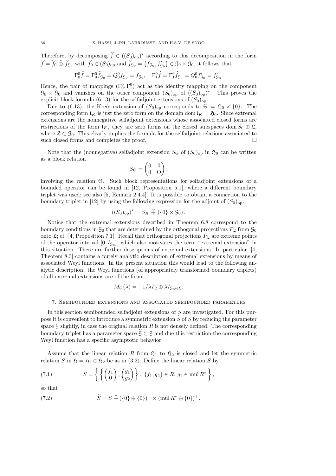Therefore, by decomposing  $\hat{f} \in ((S_0)_{op})^*$  according to this decomposition in the form  $\widehat{f} = \widehat{f}_0 \widehat{\oplus} \widehat{f}_{g_0}$  with  $\widehat{f}_0 \in (S_0)_{\text{op}}$  and  $\widehat{f}_{g_0} = \{f_{g_0}, f'_{g_0}\} \in \mathcal{G}_0 \times \mathcal{G}_0$ , it follows that

$$
\Gamma_0^0 \hat{f} = \Gamma_0^0 \hat{f}_{g_0} = Q_0^0 f_{g_0} = f_{g_0}, \quad \Gamma_1^0 \hat{f} = \Gamma_1^0 \hat{f}_{g_0} = Q_0^0 f'_{g_0} = f'_{g_0}.
$$

Hence, the pair of mappings  $(\Gamma_0^0, \Gamma_1^0)$  act as the identity mapping on the component  $\mathcal{G}_0 \times \mathcal{G}_0$  and vanishes on the other component  $(S_0)_{op}$  of  $((S_0)_{op})^*$ . This proves the explicit block formula (6.13) for the selfadjoint extensions of  $(S_0)_{op}$ .

Due to (6.13), the Kreĭn extension of  $(S_0)_{op}$  corresponds to  $\Theta = \mathfrak{H}_0 \times \{0\}$ . The corresponding form  $t_K$  is just the zero form on the domain dom  $t_K = \mathfrak{H}_0$ . Since extremal extensions are the nonnegative selfadjoint extensions whose associated closed forms are restrictions of the form  $\mathfrak{t}_K$ , they are zero forms on the closed subspaces dom  $S_0 \oplus \mathfrak{L}$ , where  $\mathfrak{L} \subset \mathfrak{G}_0$ . This clearly implies the formula for the selfadjoint relations associated to such closed forms and completes the proof.  $\Box$ 

Note that the (nonnegative) selfadjoint extension  $S_{\Theta}$  of  $(S_0)_{\text{op}}$  in  $\mathfrak{H}_0$  can be written as a block relation

$$
S_{\Theta} = \begin{pmatrix} 0 & 0 \\ 0 & \Theta \end{pmatrix},
$$

involving the relation Θ. Such block representations for selfadjoint extensions of a bounded operator can be found in [12, Proposition 5.1], where a different boundary triplet was used; see also [5, Remark 2.4.4]. It is possible to obtain a connection to the boundary triplet in [12] by using the following expression for the adjoint of  $(S_0)_{\text{op}}$ :

$$
((S_0)_{op})^* = S_K \widehat{\oplus} \left( \{0\} \times \mathcal{G}_0 \right).
$$

Notice that the extremal extensions described in Theorem 6.8 correspond to the boundary conditions in  $\mathcal{G}_0$  that are determined by the orthogonal projections  $P_{\mathfrak{L}}$  from  $\mathcal{G}_0$ onto  $\mathfrak{L}$ ; cf. [4, Proposition 7.1]. Recall that orthogonal projections  $P_{\mathfrak{L}}$  are extreme points of the operator interval  $[0, I_{90}]$ , which also motivates the term "extremal extension" in this situation. There are further descriptions of extremal extensions. In particular, [4, Theorem 8.3] contains a purely analytic description of extremal extensions by means of associated Weyl functions. In the present situation this would lead to the following analytic description: the Weyl functions (of appropriately transformed boundary triplets) of all extremal extensions are of the form:

$$
M_{\Theta}(\lambda) = -1/\lambda I_{\mathfrak{L}} \oplus \lambda I_{\mathfrak{S}_0 \ominus \mathfrak{L}}.
$$

#### 7. Semibounded extensions and associated semibounded parameters

In this section semibounded selfadjoint extensions of S are investigated. For this purpose it is convenient to introduce a symmetric extension  $\tilde{S}$  of S by reducing the parameter space  $\mathcal G$  slightly, in case the original relation  $R$  is not densely defined. The corresponding boundary triplet has a parameter space  $\hat{G} \subset \hat{G}$  and due this restriction the corresponding Weyl function has a specific asymptotic behavior.

Assume that the linear relation R from  $\mathfrak{H}_1$  to  $\mathfrak{H}_2$  is closed and let the symmetric relation S in  $\mathfrak{H} = \mathfrak{H}_1 \oplus \mathfrak{H}_2$  be as in (3.2). Define the linear relation S by

(7.1) 
$$
\widetilde{S} = \left\{ \left\{ \begin{pmatrix} f_1 \\ 0 \end{pmatrix}, \begin{pmatrix} g_1 \\ g_2 \end{pmatrix} \right\} : \{f_1, g_2\} \in R, g_1 \in \text{mul } R^* \right\},\
$$

so that

(7.2) 
$$
\widetilde{S} = S \widehat{+} (\{0\} \oplus \{0\})^{\top} \times (\text{mul } R^* \oplus \{0\})^{\top}.
$$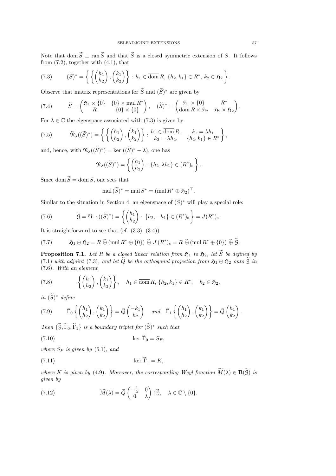Note that dom  $\widetilde{S} \perp \tan \widetilde{S}$  and that  $\widetilde{S}$  is a closed symmetric extension of S. It follows from  $(7.2)$ , together with  $(4.1)$ , that

$$
(7.3) \qquad (\widetilde{S})^* = \left\{ \left\{ \begin{pmatrix} h_1 \\ h_2 \end{pmatrix}, \begin{pmatrix} k_1 \\ k_2 \end{pmatrix} \right\} : h_1 \in \overline{\text{dom }R}, \{h_2, k_1\} \in R^*, k_2 \in \mathfrak{H}_2 \right\}.
$$

Observe that matrix representations for  $\widetilde{S}$  and  $(\widetilde{S})^*$  are given by

(7.4) 
$$
\widetilde{S} = \begin{pmatrix} \mathfrak{H}_1 \times \{0\} & \{0\} \times \text{mul } R^* \\ R & \{0\} \times \{0\} \end{pmatrix}, \quad (\widetilde{S})^* = \begin{pmatrix} \mathfrak{H}_1 \times \{0\} & R^* \\ \overline{\text{dom } R \times \mathfrak{H}_2} & \mathfrak{H}_2 \times \mathfrak{H}_2 \end{pmatrix}.
$$

For  $\lambda \in \mathbb{C}$  the eigenspace associated with (7.3) is given by

(7.5) 
$$
\widehat{\mathfrak{N}}_{\lambda}((\widetilde{S})^*) = \left\{ \left\{ \begin{pmatrix} h_1 \\ h_2 \end{pmatrix}, \begin{pmatrix} k_1 \\ k_2 \end{pmatrix} \right\} : \begin{matrix} h_1 \in \overline{\text{dom}} R, & k_1 = \lambda h_1 \\ k_2 = \lambda h_2, & \{h_2, k_1\} \in R^* \end{matrix} \right\},
$$

and, hence, with  $\mathfrak{N}_{\lambda}((\widetilde{S})^*) = \text{ker } ((\widetilde{S})^* - \lambda)$ , one has

$$
\mathfrak{N}_{\lambda}((\widetilde{S})^*) = \left\{ \begin{pmatrix} h_1 \\ h_2 \end{pmatrix} : \{h_2, \lambda h_1\} \in (R^*)_s \right\}.
$$

Since dom  $\widetilde{S} = \text{dom } S$ , one sees that

$$
\operatorname{mul}(\widetilde{S})^* = \operatorname{mul} S^* = (\operatorname{mul} R^* \oplus \mathfrak{H}_2)^{\top}.
$$

Similar to the situation in Section 4, an eigenspace of  $(\widetilde{S})^*$  will play a special role:

(7.6) 
$$
\widetilde{g} = \mathfrak{N}_{-1}((\widetilde{S})^*) = \left\{ \begin{pmatrix} h_1 \\ h_2 \end{pmatrix} : \{h_2, -h_1\} \in (R^*)_s \right\} = J(R^*)_s.
$$

It is straightforward to see that  $(cf. (3.3), (3.4))$ 

(7.7) <sup>H</sup><sup>1</sup> <sup>⊕</sup> <sup>H</sup><sup>2</sup> <sup>=</sup> <sup>R</sup> <sup>⊕</sup><sup>b</sup> (mul <sup>R</sup> <sup>∗</sup> ⊕ {0}) <sup>⊕</sup><sup>b</sup> <sup>J</sup> (<sup>R</sup> ∗ )<sup>s</sup> = R ⊕b (mul R <sup>∗</sup> ⊕ {0}) <sup>⊕</sup><sup>b</sup> <sup>G</sup>e.

**Proposition 7.1.** Let R be a closed linear relation from  $\mathfrak{H}_1$  to  $\mathfrak{H}_2$ , let  $\widetilde{S}$  be defined by (7.1) *with adjoint* (7.3)*, and let*  $\widetilde{Q}$  *be the orthogonal projection from*  $\mathfrak{H}_1 \oplus \mathfrak{H}_2$  *onto*  $\widetilde{G}$  *in* (7.6)*. With an element*

(7.8) 
$$
\left\{ \begin{pmatrix} h_1 \\ h_2 \end{pmatrix}, \begin{pmatrix} k_1 \\ k_2 \end{pmatrix} \right\}, \quad h_1 \in \overline{\text{dom }R}, \{h_2, k_1\} \in R^*, \quad k_2 \in \mathfrak{H}_2,
$$

 $in (\widetilde{S})^*$  *define* 

(7.9) 
$$
\widetilde{\Gamma}_{0}\left\{ \begin{pmatrix} h_{1} \\ h_{2} \end{pmatrix}, \begin{pmatrix} k_{1} \\ k_{2} \end{pmatrix} \right\} = \widetilde{Q}\left(\begin{pmatrix} -k_{1} \\ h_{2} \end{pmatrix} \text{ and } \widetilde{\Gamma}_{1}\left\{ \begin{pmatrix} h_{1} \\ h_{2} \end{pmatrix}, \begin{pmatrix} k_{1} \\ k_{2} \end{pmatrix} \right\} = \widetilde{Q}\left(\begin{pmatrix} h_{1} \\ h_{2} \end{pmatrix}, \begin{pmatrix} k_{2} \\ k_{2} \end{pmatrix} \right).
$$

*Then*  $\{\widetilde{G}, \widetilde{\Gamma}_0, \widetilde{\Gamma}_1\}$  *is a boundary triplet for*  $(\widetilde{S})^*$  *such that* 

$$
\ker \widetilde{\Gamma}_0 = S_F,
$$

*where*  $S_F$  *is given by* (6.1)*, and* 

$$
\ker \widetilde{\Gamma}_1 = K,
$$

*where* K *is given by* (4.9)*. Moreover, the corresponding Weyl function*  $\widetilde{M}(\lambda) \in \mathbf{B}(\widetilde{\mathcal{G}})$  *is given by*

(7.12) 
$$
\widetilde{M}(\lambda) = \widetilde{Q} \begin{pmatrix} -\frac{1}{\lambda} & 0 \\ 0 & \lambda \end{pmatrix} \mid \widetilde{G}, \quad \lambda \in \mathbb{C} \setminus \{0\}.
$$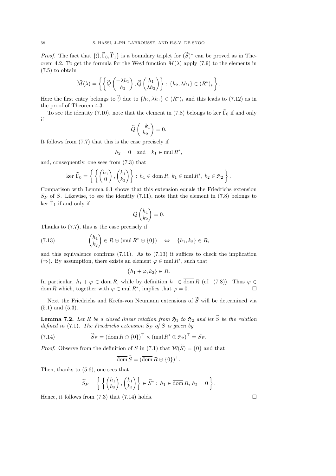*Proof.* The fact that  $\{\widetilde{G}, \widetilde{\Gamma}_0, \widetilde{\Gamma}_1\}$  is a boundary triplet for  $(\widetilde{S})^*$  can be proved as in Theorem 4.2. To get the formula for the Weyl function  $M(\lambda)$  apply (7.9) to the elements in (7.5) to obtain

$$
\widetilde{M}(\lambda) = \left\{ \left\{ \widetilde{Q} \begin{pmatrix} -\lambda h_1 \\ h_2 \end{pmatrix}, \widetilde{Q} \begin{pmatrix} h_1 \\ \lambda h_2 \end{pmatrix} \right\} : \{h_2, \lambda h_1\} \in (R^*)_s \right\}.
$$

Here the first entry belongs to  $\tilde{G}$  due to  $\{h_2, \lambda h_1\} \in (R^*)_s$  and this leads to (7.12) as in the proof of Theorem 4.3.

To see the identity (7.10), note that the element in (7.8) belongs to ker  $\widetilde{\Gamma}_0$  if and only if

$$
\widetilde{Q}\left(\begin{matrix} -k_1\\ h_2 \end{matrix}\right) = 0.
$$

It follows from (7.7) that this is the case precisely if

$$
h_2 = 0 \quad \text{and} \quad k_1 \in \text{mul } R^*,
$$

and, consequently, one sees from (7.3) that

$$
\ker \widetilde{\Gamma}_0 = \left\{ \left\{ \begin{pmatrix} h_1 \\ 0 \end{pmatrix}, \begin{pmatrix} k_1 \\ k_2 \end{pmatrix} \right\} : h_1 \in \overline{\text{dom }R}, k_1 \in \text{mul } R^*, k_2 \in \mathfrak{H}_2 \right\}.
$$

Comparison with Lemma 6.1 shows that this extension equals the Friedrichs extension  $S_F$  of S. Likewise, to see the identity (7.11), note that the element in (7.8) belongs to ker  $\Gamma_1$  if and only if

$$
\widetilde{Q}\begin{pmatrix}h_1\\k_2\end{pmatrix}=0.
$$

Thanks to (7.7), this is the case precisely if

(7.13) 
$$
\begin{pmatrix} h_1 \\ k_2 \end{pmatrix} \in R \oplus (\text{mul } R^* \oplus \{0\}) \quad \Leftrightarrow \quad \{h_1, k_2\} \in R,
$$

and this equivalence confirms  $(7.11)$ . As to  $(7.13)$  it suffices to check the implication  $(\Rightarrow)$ . By assumption, there exists an element  $\varphi \in \text{mul } R^*$ , such that

$$
\{h_1 + \varphi, k_2\} \in R.
$$

In particular,  $h_1 + \varphi \in \text{dom } R$ , while by definition  $h_1 \in \overline{\text{dom }} R$  (cf. (7.8)). Thus  $\varphi \in$  $\overline{\text{dom}} R$  which, together with  $\varphi \in \text{mul } R^*$ , implies that  $\varphi = 0$ .

Next the Friedrichs and Kreĭn-von Neumann extensions of  $\tilde{S}$  will be determined via (5.1) and (5.3).

**Lemma 7.2.** Let R be a closed linear relation from  $\mathfrak{H}_1$  to  $\mathfrak{H}_2$  and let  $\widetilde{S}$  be the relation *defined in* (7.1)*. The Friedrichs extension*  $S_F$  *of* S *is given by* 

(7.14) 
$$
\widetilde{S}_F = (\overline{\text{dom}} R \oplus \{0\})^\top \times (\text{mul } R^* \oplus \mathfrak{H}_2)^\top = S_F.
$$

*Proof.* Observe from the definition of S in (7.1) that  $W(\widetilde{S}) = \{0\}$  and that

$$
\overline{\text{dom}}\,\widetilde{S}=(\overline{\text{dom}}\,R\oplus\{0\})^{\top}.
$$

Then, thanks to (5.6), one sees that

$$
\widetilde{S}_F = \left\{ \left\{ \begin{pmatrix} h_1 \\ h_2 \end{pmatrix}, \begin{pmatrix} k_1 \\ k_2 \end{pmatrix} \right\} \in \widetilde{S}^* : h_1 \in \overline{\text{dom }R}, h_2 = 0 \right\}.
$$

Hence, it follows from (7.3) that (7.14) holds.  $\square$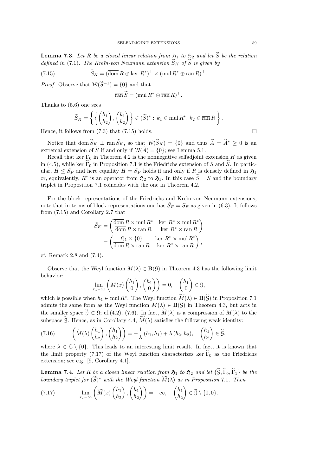**Lemma 7.3.** Let R be a closed linear relation from  $\mathfrak{H}_1$  to  $\mathfrak{H}_2$  and let  $\widetilde{S}$  be the relation *defined in* (7.1). The Kre $\check{n}$ -von Neumann extension  $\widetilde{S}_K$  of  $\widetilde{S}$  is given by

(7.15) 
$$
\widetilde{S}_K = (\overline{\text{dom}} R \oplus \ker R^*)^\top \times (\text{mul } R^* \oplus \overline{\text{ran}} R)^\top.
$$

*Proof.* Observe that  $W(S^{-1}) = \{0\}$  and that

$$
\overline{\operatorname{ran}}\,\widetilde{S} = (\operatorname{mul} R^* \oplus \overline{\operatorname{ran}}\,R)^\top.
$$

Thanks to (5.6) one sees

$$
\widetilde{S}_K = \left\{ \left\{ \begin{pmatrix} h_1 \\ h_2 \end{pmatrix}, \begin{pmatrix} k_1 \\ k_2 \end{pmatrix} \right\} \in (\widetilde{S})^* : k_1 \in \text{mul } R^*, k_2 \in \overline{\text{ran } R} \right\}.
$$

Hence, it follows from (7.3) that (7.15) holds.  $\square$ 

Notice that dom  $\widetilde{S}_{K_{\sim}}\perp \tan \widetilde{S}_{K}$ , so that  $\mathcal{W}(\widetilde{S}_{K}) = \{0\}$  and thus  $\widetilde{A} = \widetilde{A}^{*} \geq 0$  is an extremal extension of  $\widetilde{S}$  if and only if  $\mathcal{W}(\widetilde{A}) = \{0\}$ ; see Lemma 5.1.

Recall that ker  $\Gamma_0$  in Theorem 4.2 is the nonnegative selfadjoint extension H as given in (4.5), while ker  $\widetilde{\Gamma}_0$  in Proposition 7.1 is the Friedrichs extension of S and  $\widetilde{S}$ . In particular,  $H \leq S_F$  and here equality  $H = S_F$  holds if and only if R is densely defined in  $\mathfrak{H}_1$ or, equivalently,  $R^*$  is an operator from  $\mathfrak{H}_2$  to  $\mathfrak{H}_1$ . In this case  $\widetilde{S}=S$  and the boundary triplet in Proposition 7.1 coincides with the one in Theorem 4.2.

For the block representations of the Friedrichs and Kreĭn-von Neumann extensions, note that in terms of block representations one has  $\widetilde{S}_F = S_F$  as given in (6.3). It follows from (7.15) and Corollary 2.7 that

$$
\widetilde{S}_K = \begin{pmatrix}\n\overline{\text{dom}} R \times \text{mul } R^* & \text{ker } R^* \times \text{mul } R^* \\
\overline{\text{dom}} R \times \overline{\text{ran}} R & \text{ker } R^* \times \overline{\text{ran}} R\n\end{pmatrix}
$$
\n
$$
= \begin{pmatrix}\n\mathfrak{H}_1 \times \{0\} & \text{ker } R^* \times \text{mul } R^* \\
\overline{\text{dom}} R \times \overline{\text{ran}} R & \text{ker } R^* \times \overline{\text{ran}} R\n\end{pmatrix},
$$

cf. Remark 2.8 and (7.4).

Observe that the Weyl function  $M(\lambda) \in \mathbf{B}(\mathcal{G})$  in Theorem 4.3 has the following limit behavior:

$$
\lim_{x \downarrow -\infty} \left( M(x) \begin{pmatrix} h_1 \\ 0 \end{pmatrix}, \begin{pmatrix} h_1 \\ 0 \end{pmatrix} \right) = 0, \quad \begin{pmatrix} h_1 \\ 0 \end{pmatrix} \in \mathfrak{G},
$$

which is possible when  $h_1 \in \text{mul } R^*$ . The Weyl function  $\tilde{M}(\lambda) \in \mathbf{B}(\tilde{\mathcal{G}})$  in Proposition 7.1 admits the same form as the Weyl function  $M(\lambda) \in \mathbf{B}(\mathcal{G})$  in Theorem 4.3, but acts in the smaller space  $\hat{G} \subset \mathcal{G}$ ; cf.(4.2), (7.6). In fact,  $M(\lambda)$  is a compression of  $M(\lambda)$  to the subspace  $\tilde{g}$ . Hence, as in Corollary 4.4,  $\widetilde{M}(\lambda)$  satisfies the following weak identity:

(7.16) 
$$
\left(\widetilde{M}(\lambda)\begin{pmatrix}h_1\\h_2\end{pmatrix},\begin{pmatrix}h_1\\h_2\end{pmatrix}\right)=-\frac{1}{\lambda}(h_1,h_1)+\lambda(h_2,h_2), \quad \begin{pmatrix}h_1\\h_2\end{pmatrix}\in\widetilde{g},
$$

where  $\lambda \in \mathbb{C} \setminus \{0\}$ . This leads to an interesting limit result. In fact, it is known that the limit property (7.17) of the Weyl function characterizes ker  $\tilde{\Gamma}_0$  as the Friedrichs extension; see e.g. [9, Corollary 4.1].

**Lemma 7.4.** Let R be a closed linear relation from  $\mathfrak{H}_1$  to  $\mathfrak{H}_2$  and let  $\{\widetilde{S}, \widetilde{\Gamma}_0, \widetilde{\Gamma}_1\}$  be the *boundary triplet for*  $(\widetilde{S})^*$  *with the Weyl function*  $\widetilde{M}(\lambda)$  *as in Proposition* 7.1*. Then* 

(7.17) 
$$
\lim_{x \downarrow -\infty} \left( \widetilde{M}(x) \begin{pmatrix} h_1 \\ h_2 \end{pmatrix}, \begin{pmatrix} h_1 \\ h_2 \end{pmatrix} \right) = -\infty, \quad \begin{pmatrix} h_1 \\ h_2 \end{pmatrix} \in \widetilde{\mathcal{G}} \setminus \{0, 0\}.
$$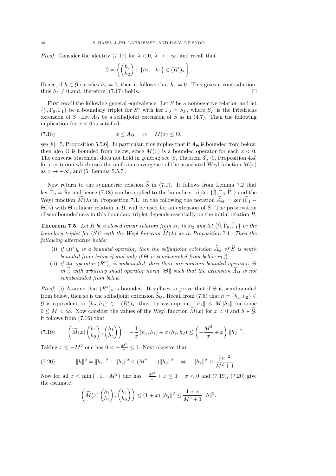*Proof.* Consider the identity (7.17) for  $\lambda < 0$ ,  $\lambda \to -\infty$ , and recall that

$$
\widetilde{\mathcal{G}} = \left\{ \begin{pmatrix} h_1 \\ h_2 \end{pmatrix} : \{h_2, -h_1\} \in (R^*)_{\mathbf{s}} \right\}.
$$

Hence, if  $h \in \tilde{G}$  satisfies  $h_2 = 0$ , then it follows that  $h_1 = 0$ . This gives a contradiction, thus  $h_2 \neq 0$  and therefore. (7.17) holds. thus  $h_2 \neq 0$  and, therefore, (7.17) holds.

First recall the following general equivalence. Let  $S$  be a nonnegative relation and let  $\{\mathcal{G}, \Gamma_0, \Gamma_1\}$  be a boundary triplet for  $S^*$  with ker  $\Gamma_0 = S_F$ , where  $S_F$  is the Friedrichs extension of S. Let  $A_{\Theta}$  be a selfadjoint extension of S as in (4.7). Then the following implication for  $x < 0$  is satisfied:

(7.18) 
$$
x \le A_{\Theta} \quad \Leftrightarrow \quad M(x) \le \Theta,
$$

see [8], [5, Proposition 5.5.6]. In particular, this implies that if  $A_{\Theta}$  is bounded from below, then also  $\Theta$  is bounded from below, since  $M(x)$  is a bounded operator for each  $x < 0$ . The converse statement does not hold in general; see [8, Theorem 3], [9, Proposition 4.4] for a criterion which uses the uniform convergence of the associated Weyl function  $M(x)$ as  $x \to -\infty$ , and [5, Lemma 5.5.7].

Now return to the symmetric relation  $\widetilde{S}$  in (7.1). It follows from Lemma 7.2 that ker  $\widetilde{\Gamma}_0 = \widetilde{S}_F$  and hence (7.18) can be applied to the boundary triplet  $\{\widetilde{\mathcal{G}}, \widetilde{\Gamma}_0, \widetilde{\Gamma}_1\}$  and the Weyl function  $\widetilde{M}(\lambda)$  in Proposition 7.1. In the following the notation  $\widetilde{A}_{\Theta} = \text{ker } (\widetilde{\Gamma}_1 \Theta(\widetilde{\Gamma}_0)$  with  $\Theta$  a linear relation in  $\widetilde{\Theta}$ , will be used for an extension of  $\widetilde{S}$ . The preservation of semiboundedness in this boundary triplet depends essentially on the initial relation R.

**Theorem 7.5.** Let R be a closed linear relation from  $\mathfrak{H}_1$  to  $\mathfrak{H}_2$  and let  $\{\hat{\mathfrak{G}}, \hat{\Gamma}_0, \hat{\Gamma}_1\}$  be the *boundary triplet for*  $(\widetilde{S})^*$  *with the Weyl function*  $\widetilde{M}(\lambda)$  *as in Proposition* 7.1*. Then the following alternative holds:*

- (i) *if*  $(R^*)$ <sub>s</sub> *is a bounded operator, then the selfadjoint extension*  $\widetilde{A}_{\Theta}$  *of*  $\widetilde{S}$  *is semibounded from below if and only if*  $\Theta$  *is semibounded from below in*  $\widetilde{G}$ *;*
- (ii) *if the operator*  $(R^*)$ <sub>s</sub> *is unbounded, then there are nonzero bounded operators*  $\Theta$ *in*  $\widetilde{G}$  *with arbitrary small operator norm*  $\|\Theta\|$  *such that the extension*  $\widetilde{A}_{\Theta}$  *is not semibounded from below.*

*Proof.* (i) Assume that  $(R^*)$ <sub>s</sub> is bounded. It suffices to prove that if  $\Theta$  is semibounded from below, then so is the selfadjoint extension  $\widetilde{S}_{\Theta}$ . Recall from (7.6) that  $h = \{h_1, h_2\} \in$  $\mathcal{G}$  is equivalent to  $\{h_2, h_1\} \in -(R^*)$  is thus, by assumption,  $||h_1|| \leq M||h_2||$  for some  $0 \leq M < \infty$ . Now consider the values of the Weyl function  $\overline{M}(x)$  for  $x < 0$  and  $h \in \mathcal{G}$ ; it follows from (7.16) that

(7.19) 
$$
\left(\widetilde{M}(x)\begin{pmatrix}h_1\\h_2\end{pmatrix}, \begin{pmatrix}h_1\\h_2\end{pmatrix}\right) = -\frac{1}{x}(h_1, h_1) + x(h_2, h_2) \le \left(-\frac{M^2}{x} + x\right) ||h_2||^2.
$$

Taking  $x \le -M^2$  one has  $0 < -\frac{M^2}{x} \le 1$ . Next observe that

$$
(7.20) \t\t ||h||^2 = ||h_1||^2 + ||h_2||^2 \le (M^2 + 1) ||h_2||^2 \Leftrightarrow ||h_2||^2 \ge \frac{||h||^2}{M^2 + 1}.
$$

Now for all  $x < \min\{-1, -M^2\}$  one has  $-\frac{M^2}{x} + x \le 1 + x < 0$  and (7.19), (7.20) give the estimate

$$
\left(\widetilde{M}(x)\begin{pmatrix}h_1\\h_2\end{pmatrix}, \begin{pmatrix}h_1\\h_2\end{pmatrix}\right) \le (1+x)\, \|h_2\|^2 \le \frac{1+x}{M^2+1}\, \|h\|^2.
$$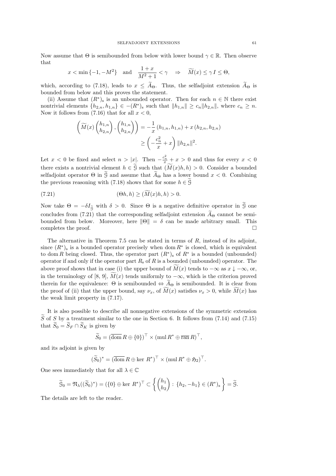Now assume that  $\Theta$  is semibounded from below with lower bound  $\gamma \in \mathbb{R}$ . Then observe that

$$
x < \min\{-1, -M^2\}
$$
 and  $\frac{1+x}{M^2+1} < \gamma \Rightarrow \widetilde{M}(x) \le \gamma I \le \Theta$ ,

which, according to (7.18), leads to  $x \leq \tilde{A}_{\Theta}$ . Thus, the selfadjoint extension  $\tilde{A}_{\Theta}$  is bounded from below and this proves the statement.

(ii) Assume that  $(R^*)$ <sub>s</sub> is an unbounded operator. Then for each  $n \in \mathbb{N}$  there exist nontrivial elements  $\{h_{2,n}, h_{1,n}\} \in -(R^*)$  such that  $||h_{1,n}|| \ge c_n ||h_{2,n}||$ , where  $c_n \ge n$ . Now it follows from  $(7.16)$  that for all  $x < 0$ ,

$$
\left(\widetilde{M}(x)\begin{pmatrix}h_{1,n} \\ h_{2,n}\end{pmatrix}, \begin{pmatrix}h_{1,n} \\ h_{2,n}\end{pmatrix}\right) = -\frac{1}{x}(h_{1,n}, h_{1,n}) + x(h_{2,n}, h_{2,n})
$$

$$
\geq \left(-\frac{c_n^2}{x} + x\right) \|h_{2,n}\|^2.
$$

Let  $x < 0$  be fixed and select  $n > |x|$ . Then  $-\frac{c_n^2}{x} + x > 0$  and thus for every  $x < 0$ there exists a nontrivial element  $h \in \tilde{\mathcal{G}}$  such that  $(\widetilde{M}(x)h, h) > 0$ . Consider a bounded selfadjoint operator  $\Theta$  in  $\mathcal G$  and assume that  $\widetilde{A}_{\Theta}$  has a lower bound  $x < 0$ . Combining the previous reasoning with (7.18) shows that for some  $h \in \mathcal{G}$ 

$$
(7.21) \qquad (\Theta h, h) \ge (M(x)h, h) > 0.
$$

Now take  $\Theta = -\delta I_{\tilde{G}}$  with  $\delta > 0$ . Since  $\Theta$  is a negative definitive operator in  $\tilde{G}$  one concludes from (7.21) that the corresponding selfadjoint extension  $\widetilde{A}_{\Theta}$  cannot be semibounded from below. Moreover, here  $\|\Theta\| = \delta$  can be made arbitrary small. This completes the proof.  $\Box$ 

The alternative in Theorem 7.5 can be stated in terms of  $R$ , instead of its adjoint, since  $(R^*)$ <sub>s</sub> is a bounded operator precisely when dom  $R^*$  is closed, which is equivalent to dom R being closed. Thus, the operator part  $(R^*)_s$  of  $R^*$  is a bounded (unbounded) operator if and only if the operator part  $R_s$  of R is a bounded (unbounded) operator. The above proof shows that in case (i) the upper bound of  $M(x)$  tends to  $-\infty$  as  $x \downarrow -\infty$ , or, in the terminology of [8, 9],  $\tilde{M}(x)$  tends uniformly to  $-\infty$ , which is the criterion proved therein for the equivalence:  $\Theta$  is semibounded  $\Leftrightarrow A_{\Theta}$  is semibounded. It is clear from the proof of (ii) that the upper bound, say  $\nu_x$ , of  $\tilde{M}(x)$  satisfies  $\nu_x > 0$ , while  $\tilde{M}(x)$  has the weak limit property in (7.17).

It is also possible to describe all nonnegative extensions of the symmetric extension  $\widetilde{S}$  of S by a treatment similar to the one in Section 6. It follows from (7.14) and (7.15) that  $\widetilde{S}_0 = \widetilde{S}_F \cap \widetilde{S}_K$  is given by

$$
\widetilde{S}_0 = (\overline{\text{dom}} R \oplus \{0\})^\top \times (\text{mul } R^* \oplus \overline{\text{ran}} R)^\top,
$$

and its adjoint is given by

$$
(\widetilde{S}_0)^* = (\overline{\text{dom}} R \oplus \text{ker } R^*)^\top \times (\text{mul } R^* \oplus \mathfrak{H}_2)^\top.
$$

One sees immediately that for all  $\lambda \in \mathbb{C}$ 

$$
\widetilde{\mathfrak{G}}_0 = \mathfrak{N}_{\lambda}((\widetilde{S}_0)^*) = (\{0\} \oplus \ker R^*)^\top \subset \left\{ \begin{pmatrix} h_1 \\ h_2 \end{pmatrix} : \{h_2, -h_1\} \in (R^*)_s \right\} = \widetilde{\mathfrak{G}}.
$$

The details are left to the reader.